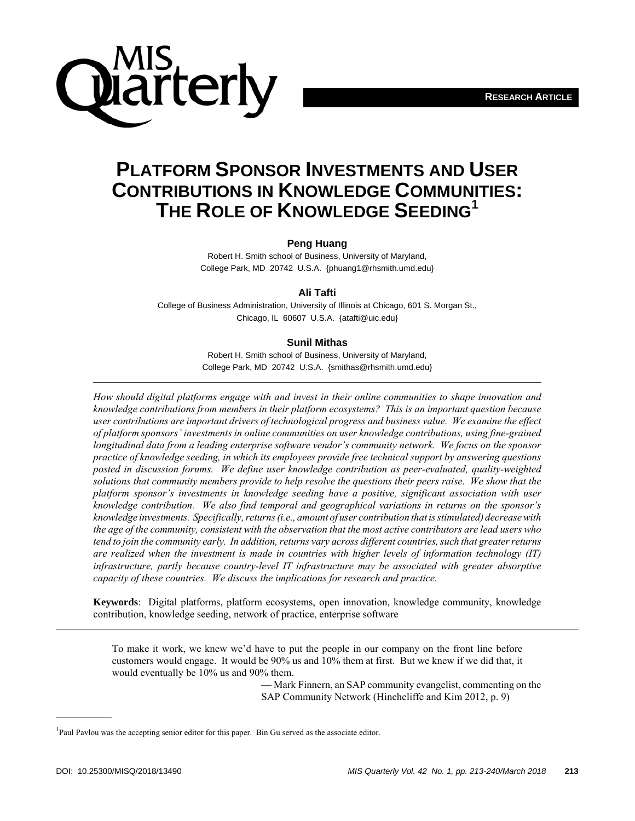

# **PLATFORM SPONSOR INVESTMENTS AND USER CONTRIBUTIONS IN KNOWLEDGE COMMUNITIES: THE ROLE OF KNOWLEDGE SEEDING1**

### **Peng Huang**

Robert H. Smith school of Business, University of Maryland, College Park, MD 20742 U.S.A. {phuang1@rhsmith.umd.edu}

### **Ali Tafti**

College of Business Administration, University of Illinois at Chicago, 601 S. Morgan St., Chicago, IL 60607 U.S.A. {atafti@uic.edu}

### **Sunil Mithas**

Robert H. Smith school of Business, University of Maryland, College Park, MD 20742 U.S.A. {smithas@rhsmith.umd.edu}

*How should digital platforms engage with and invest in their online communities to shape innovation and knowledge contributions from members in their platform ecosystems? This is an important question because user contributions are important drivers of technological progress and business value. We examine the effect of platform sponsors' investments in online communities on user knowledge contributions, using fine-grained longitudinal data from a leading enterprise software vendor's community network. We focus on the sponsor practice of knowledge seeding, in which its employees provide free technical support by answering questions posted in discussion forums. We define user knowledge contribution as peer-evaluated, quality-weighted solutions that community members provide to help resolve the questions their peers raise. We show that the platform sponsor's investments in knowledge seeding have a positive, significant association with user knowledge contribution. We also find temporal and geographical variations in returns on the sponsor's knowledge investments. Specifically, returns (i.e., amount of user contribution that is stimulated) decrease with the age of the community, consistent with the observation that the most active contributors are lead users who tend to join the community early. In addition, returns vary across different countries, such that greater returns are realized when the investment is made in countries with higher levels of information technology (IT) infrastructure, partly because country-level IT infrastructure may be associated with greater absorptive capacity of these countries. We discuss the implications for research and practice.* 

**Keywords**: Digital platforms, platform ecosystems, open innovation, knowledge community, knowledge contribution, knowledge seeding, network of practice, enterprise software

To make it work, we knew we'd have to put the people in our company on the front line before customers would engage. It would be 90% us and 10% them at first. But we knew if we did that, it would eventually be 10% us and 90% them.

> — Mark Finnern, an SAP community evangelist, commenting on the SAP Community Network (Hinchcliffe and Kim 2012, p. 9)

<sup>&</sup>lt;sup>1</sup>Paul Pavlou was the accepting senior editor for this paper. Bin Gu served as the associate editor.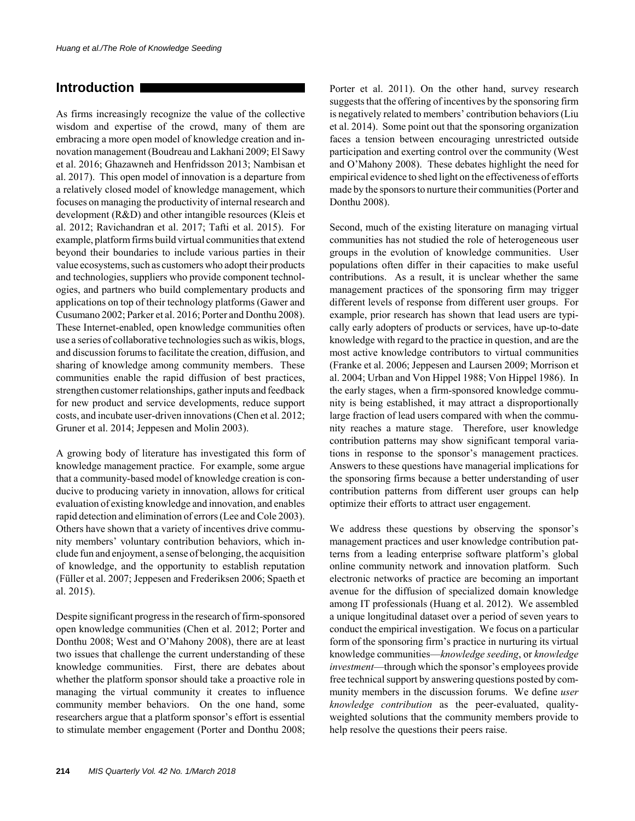# **Introduction**

As firms increasingly recognize the value of the collective wisdom and expertise of the crowd, many of them are embracing a more open model of knowledge creation and innovation management (Boudreau and Lakhani 2009; El Sawy et al. 2016; Ghazawneh and Henfridsson 2013; Nambisan et al. 2017). This open model of innovation is a departure from a relatively closed model of knowledge management, which focuses on managing the productivity of internal research and development (R&D) and other intangible resources (Kleis et al. 2012; Ravichandran et al. 2017; Tafti et al. 2015). For example, platform firms build virtual communities that extend beyond their boundaries to include various parties in their value ecosystems, such as customers who adopt their products and technologies, suppliers who provide component technologies, and partners who build complementary products and applications on top of their technology platforms (Gawer and Cusumano 2002; Parker et al. 2016; Porter and Donthu 2008). These Internet-enabled, open knowledge communities often use a series of collaborative technologies such as wikis, blogs, and discussion forums to facilitate the creation, diffusion, and sharing of knowledge among community members. These communities enable the rapid diffusion of best practices, strengthen customer relationships, gather inputs and feedback for new product and service developments, reduce support costs, and incubate user-driven innovations (Chen et al. 2012; Gruner et al. 2014; Jeppesen and Molin 2003).

A growing body of literature has investigated this form of knowledge management practice. For example, some argue that a community-based model of knowledge creation is conducive to producing variety in innovation, allows for critical evaluation of existing knowledge and innovation, and enables rapid detection and elimination of errors (Lee and Cole 2003). Others have shown that a variety of incentives drive community members' voluntary contribution behaviors, which include fun and enjoyment, a sense of belonging, the acquisition of knowledge, and the opportunity to establish reputation (Füller et al. 2007; Jeppesen and Frederiksen 2006; Spaeth et al. 2015).

Despite significant progress in the research of firm-sponsored open knowledge communities (Chen et al. 2012; Porter and Donthu 2008; West and O'Mahony 2008), there are at least two issues that challenge the current understanding of these knowledge communities. First, there are debates about whether the platform sponsor should take a proactive role in managing the virtual community it creates to influence community member behaviors. On the one hand, some researchers argue that a platform sponsor's effort is essential to stimulate member engagement (Porter and Donthu 2008; Porter et al. 2011). On the other hand, survey research suggests that the offering of incentives by the sponsoring firm is negatively related to members' contribution behaviors (Liu et al. 2014). Some point out that the sponsoring organization faces a tension between encouraging unrestricted outside participation and exerting control over the community (West and O'Mahony 2008). These debates highlight the need for empirical evidence to shed light on the effectiveness of efforts made by the sponsors to nurture their communities (Porter and Donthu 2008).

Second, much of the existing literature on managing virtual communities has not studied the role of heterogeneous user groups in the evolution of knowledge communities. User populations often differ in their capacities to make useful contributions. As a result, it is unclear whether the same management practices of the sponsoring firm may trigger different levels of response from different user groups. For example, prior research has shown that lead users are typically early adopters of products or services, have up-to-date knowledge with regard to the practice in question, and are the most active knowledge contributors to virtual communities (Franke et al. 2006; Jeppesen and Laursen 2009; Morrison et al. 2004; Urban and Von Hippel 1988; Von Hippel 1986). In the early stages, when a firm-sponsored knowledge community is being established, it may attract a disproportionally large fraction of lead users compared with when the community reaches a mature stage. Therefore, user knowledge contribution patterns may show significant temporal variations in response to the sponsor's management practices. Answers to these questions have managerial implications for the sponsoring firms because a better understanding of user contribution patterns from different user groups can help optimize their efforts to attract user engagement.

We address these questions by observing the sponsor's management practices and user knowledge contribution patterns from a leading enterprise software platform's global online community network and innovation platform. Such electronic networks of practice are becoming an important avenue for the diffusion of specialized domain knowledge among IT professionals (Huang et al. 2012). We assembled a unique longitudinal dataset over a period of seven years to conduct the empirical investigation. We focus on a particular form of the sponsoring firm's practice in nurturing its virtual knowledge communities—*knowledge seeding*, or *knowledge investment*—through which the sponsor's employees provide free technical support by answering questions posted by community members in the discussion forums. We define *user knowledge contribution* as the peer-evaluated, qualityweighted solutions that the community members provide to help resolve the questions their peers raise.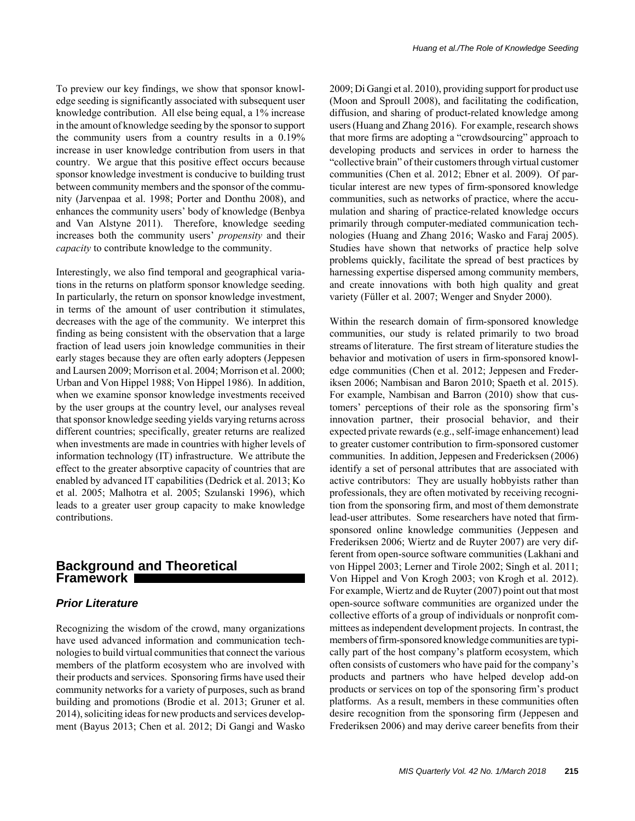To preview our key findings, we show that sponsor knowledge seeding is significantly associated with subsequent user knowledge contribution. All else being equal, a 1% increase in the amount of knowledge seeding by the sponsor to support the community users from a country results in a 0.19% increase in user knowledge contribution from users in that country. We argue that this positive effect occurs because sponsor knowledge investment is conducive to building trust between community members and the sponsor of the community (Jarvenpaa et al. 1998; Porter and Donthu 2008), and enhances the community users' body of knowledge (Benbya and Van Alstyne 2011). Therefore, knowledge seeding increases both the community users' *propensity* and their *capacity* to contribute knowledge to the community.

Interestingly, we also find temporal and geographical variations in the returns on platform sponsor knowledge seeding. In particularly, the return on sponsor knowledge investment, in terms of the amount of user contribution it stimulates, decreases with the age of the community. We interpret this finding as being consistent with the observation that a large fraction of lead users join knowledge communities in their early stages because they are often early adopters (Jeppesen and Laursen 2009; Morrison et al. 2004; Morrison et al. 2000; Urban and Von Hippel 1988; Von Hippel 1986). In addition, when we examine sponsor knowledge investments received by the user groups at the country level, our analyses reveal that sponsor knowledge seeding yields varying returns across different countries; specifically, greater returns are realized when investments are made in countries with higher levels of information technology (IT) infrastructure. We attribute the effect to the greater absorptive capacity of countries that are enabled by advanced IT capabilities (Dedrick et al. 2013; Ko et al. 2005; Malhotra et al. 2005; Szulanski 1996), which leads to a greater user group capacity to make knowledge contributions.

# **Background and Theoretical Framework**

# *Prior Literature*

Recognizing the wisdom of the crowd, many organizations have used advanced information and communication technologies to build virtual communities that connect the various members of the platform ecosystem who are involved with their products and services. Sponsoring firms have used their community networks for a variety of purposes, such as brand building and promotions (Brodie et al. 2013; Gruner et al. 2014), soliciting ideas for new products and services development (Bayus 2013; Chen et al. 2012; Di Gangi and Wasko 2009; Di Gangi et al. 2010), providing support for product use (Moon and Sproull 2008), and facilitating the codification, diffusion, and sharing of product-related knowledge among users (Huang and Zhang 2016). For example, research shows that more firms are adopting a "crowdsourcing" approach to developing products and services in order to harness the "collective brain" of their customers through virtual customer communities (Chen et al. 2012; Ebner et al. 2009). Of particular interest are new types of firm-sponsored knowledge communities, such as networks of practice, where the accumulation and sharing of practice-related knowledge occurs primarily through computer-mediated communication technologies (Huang and Zhang 2016; Wasko and Faraj 2005). Studies have shown that networks of practice help solve problems quickly, facilitate the spread of best practices by harnessing expertise dispersed among community members, and create innovations with both high quality and great variety (Füller et al. 2007; Wenger and Snyder 2000).

Within the research domain of firm-sponsored knowledge communities, our study is related primarily to two broad streams of literature. The first stream of literature studies the behavior and motivation of users in firm-sponsored knowledge communities (Chen et al. 2012; Jeppesen and Frederiksen 2006; Nambisan and Baron 2010; Spaeth et al. 2015). For example, Nambisan and Barron (2010) show that customers' perceptions of their role as the sponsoring firm's innovation partner, their prosocial behavior, and their expected private rewards (e.g., self-image enhancement) lead to greater customer contribution to firm-sponsored customer communities. In addition, Jeppesen and Fredericksen (2006) identify a set of personal attributes that are associated with active contributors: They are usually hobbyists rather than professionals, they are often motivated by receiving recognition from the sponsoring firm, and most of them demonstrate lead-user attributes. Some researchers have noted that firmsponsored online knowledge communities (Jeppesen and Frederiksen 2006; Wiertz and de Ruyter 2007) are very different from open-source software communities (Lakhani and von Hippel 2003; Lerner and Tirole 2002; Singh et al. 2011; Von Hippel and Von Krogh 2003; von Krogh et al. 2012). For example, Wiertz and de Ruyter (2007) point out that most open-source software communities are organized under the collective efforts of a group of individuals or nonprofit committees as independent development projects. In contrast, the members of firm-sponsored knowledge communities are typically part of the host company's platform ecosystem, which often consists of customers who have paid for the company's products and partners who have helped develop add-on products or services on top of the sponsoring firm's product platforms. As a result, members in these communities often desire recognition from the sponsoring firm (Jeppesen and Frederiksen 2006) and may derive career benefits from their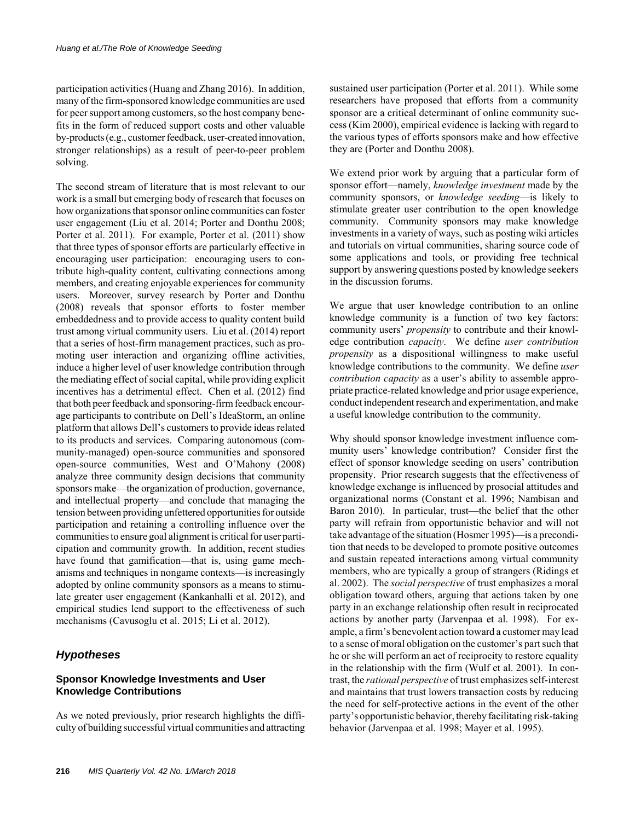participation activities (Huang and Zhang 2016). In addition, many of the firm-sponsored knowledge communities are used for peer support among customers, so the host company benefits in the form of reduced support costs and other valuable by-products (e.g., customer feedback, user-created innovation, stronger relationships) as a result of peer-to-peer problem solving.

The second stream of literature that is most relevant to our work is a small but emerging body of research that focuses on how organizations that sponsor online communities can foster user engagement (Liu et al. 2014; Porter and Donthu 2008; Porter et al. 2011). For example, Porter et al. (2011) show that three types of sponsor efforts are particularly effective in encouraging user participation: encouraging users to contribute high-quality content, cultivating connections among members, and creating enjoyable experiences for community users. Moreover, survey research by Porter and Donthu (2008) reveals that sponsor efforts to foster member embeddedness and to provide access to quality content build trust among virtual community users. Liu et al. (2014) report that a series of host-firm management practices, such as promoting user interaction and organizing offline activities, induce a higher level of user knowledge contribution through the mediating effect of social capital, while providing explicit incentives has a detrimental effect. Chen et al. (2012) find that both peer feedback and sponsoring-firm feedback encourage participants to contribute on Dell's IdeaStorm, an online platform that allows Dell's customers to provide ideas related to its products and services. Comparing autonomous (community-managed) open-source communities and sponsored open-source communities, West and O'Mahony (2008) analyze three community design decisions that community sponsors make—the organization of production, governance, and intellectual property—and conclude that managing the tension between providing unfettered opportunities for outside participation and retaining a controlling influence over the communities to ensure goal alignment is critical for user participation and community growth. In addition, recent studies have found that gamification—that is, using game mechanisms and techniques in nongame contexts—is increasingly adopted by online community sponsors as a means to stimulate greater user engagement (Kankanhalli et al. 2012), and empirical studies lend support to the effectiveness of such mechanisms (Cavusoglu et al. 2015; Li et al. 2012).

# *Hypotheses*

# **Sponsor Knowledge Investments and User Knowledge Contributions**

As we noted previously, prior research highlights the difficulty of building successful virtual communities and attracting sustained user participation (Porter et al. 2011). While some researchers have proposed that efforts from a community sponsor are a critical determinant of online community success (Kim 2000), empirical evidence is lacking with regard to the various types of efforts sponsors make and how effective they are (Porter and Donthu 2008).

We extend prior work by arguing that a particular form of sponsor effort—namely, *knowledge investment* made by the community sponsors, or *knowledge seeding*—is likely to stimulate greater user contribution to the open knowledge community. Community sponsors may make knowledge investments in a variety of ways, such as posting wiki articles and tutorials on virtual communities, sharing source code of some applications and tools, or providing free technical support by answering questions posted by knowledge seekers in the discussion forums.

We argue that user knowledge contribution to an online knowledge community is a function of two key factors: community users' *propensity* to contribute and their knowledge contribution *capacity*. We define *user contribution propensity* as a dispositional willingness to make useful knowledge contributions to the community. We define *user contribution capacity* as a user's ability to assemble appropriate practice-related knowledge and prior usage experience, conduct independent research and experimentation, and make a useful knowledge contribution to the community.

Why should sponsor knowledge investment influence community users' knowledge contribution? Consider first the effect of sponsor knowledge seeding on users' contribution propensity. Prior research suggests that the effectiveness of knowledge exchange is influenced by prosocial attitudes and organizational norms (Constant et al. 1996; Nambisan and Baron 2010). In particular, trust—the belief that the other party will refrain from opportunistic behavior and will not take advantage of the situation (Hosmer 1995)—is a precondition that needs to be developed to promote positive outcomes and sustain repeated interactions among virtual community members, who are typically a group of strangers (Ridings et al. 2002). The *social perspective* of trust emphasizes a moral obligation toward others, arguing that actions taken by one party in an exchange relationship often result in reciprocated actions by another party (Jarvenpaa et al. 1998). For example, a firm's benevolent action toward a customer may lead to a sense of moral obligation on the customer's part such that he or she will perform an act of reciprocity to restore equality in the relationship with the firm (Wulf et al. 2001). In contrast, the *rational perspective* of trust emphasizes self-interest and maintains that trust lowers transaction costs by reducing the need for self-protective actions in the event of the other party's opportunistic behavior, thereby facilitating risk-taking behavior (Jarvenpaa et al. 1998; Mayer et al. 1995).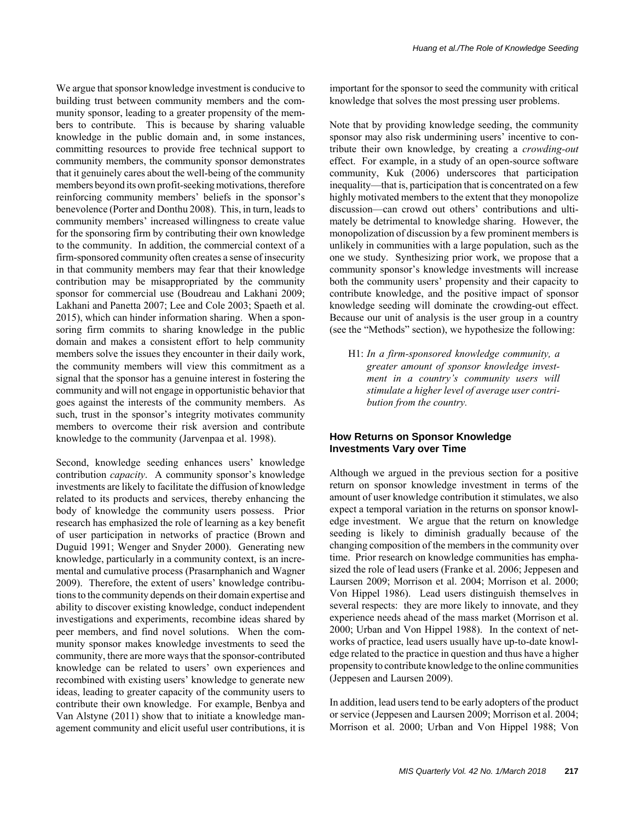We argue that sponsor knowledge investment is conducive to building trust between community members and the community sponsor, leading to a greater propensity of the members to contribute. This is because by sharing valuable knowledge in the public domain and, in some instances, committing resources to provide free technical support to community members, the community sponsor demonstrates that it genuinely cares about the well-being of the community members beyond its own profit-seeking motivations, therefore reinforcing community members' beliefs in the sponsor's benevolence (Porter and Donthu 2008). This, in turn, leads to community members' increased willingness to create value for the sponsoring firm by contributing their own knowledge to the community. In addition, the commercial context of a firm-sponsored community often creates a sense of insecurity in that community members may fear that their knowledge contribution may be misappropriated by the community sponsor for commercial use (Boudreau and Lakhani 2009; Lakhani and Panetta 2007; Lee and Cole 2003; Spaeth et al. 2015), which can hinder information sharing. When a sponsoring firm commits to sharing knowledge in the public domain and makes a consistent effort to help community members solve the issues they encounter in their daily work, the community members will view this commitment as a signal that the sponsor has a genuine interest in fostering the community and will not engage in opportunistic behavior that goes against the interests of the community members. As such, trust in the sponsor's integrity motivates community members to overcome their risk aversion and contribute knowledge to the community (Jarvenpaa et al. 1998).

Second, knowledge seeding enhances users' knowledge contribution *capacity*. A community sponsor's knowledge investments are likely to facilitate the diffusion of knowledge related to its products and services, thereby enhancing the body of knowledge the community users possess. Prior research has emphasized the role of learning as a key benefit of user participation in networks of practice (Brown and Duguid 1991; Wenger and Snyder 2000). Generating new knowledge, particularly in a community context, is an incremental and cumulative process (Prasarnphanich and Wagner 2009). Therefore, the extent of users' knowledge contributions to the community depends on their domain expertise and ability to discover existing knowledge, conduct independent investigations and experiments, recombine ideas shared by peer members, and find novel solutions. When the community sponsor makes knowledge investments to seed the community, there are more ways that the sponsor-contributed knowledge can be related to users' own experiences and recombined with existing users' knowledge to generate new ideas, leading to greater capacity of the community users to contribute their own knowledge. For example, Benbya and Van Alstyne (2011) show that to initiate a knowledge management community and elicit useful user contributions, it is

important for the sponsor to seed the community with critical knowledge that solves the most pressing user problems.

Note that by providing knowledge seeding, the community sponsor may also risk undermining users' incentive to contribute their own knowledge, by creating a *crowding-out* effect. For example, in a study of an open-source software community, Kuk (2006) underscores that participation inequality—that is, participation that is concentrated on a few highly motivated members to the extent that they monopolize discussion—can crowd out others' contributions and ultimately be detrimental to knowledge sharing. However, the monopolization of discussion by a few prominent members is unlikely in communities with a large population, such as the one we study. Synthesizing prior work, we propose that a community sponsor's knowledge investments will increase both the community users' propensity and their capacity to contribute knowledge, and the positive impact of sponsor knowledge seeding will dominate the crowding-out effect. Because our unit of analysis is the user group in a country (see the "Methods" section), we hypothesize the following:

H1: *In a firm-sponsored knowledge community, a greater amount of sponsor knowledge investment in a country's community users will stimulate a higher level of average user contribution from the country.*

#### **How Returns on Sponsor Knowledge Investments Vary over Time**

Although we argued in the previous section for a positive return on sponsor knowledge investment in terms of the amount of user knowledge contribution it stimulates, we also expect a temporal variation in the returns on sponsor knowledge investment. We argue that the return on knowledge seeding is likely to diminish gradually because of the changing composition of the members in the community over time. Prior research on knowledge communities has emphasized the role of lead users (Franke et al. 2006; Jeppesen and Laursen 2009; Morrison et al. 2004; Morrison et al. 2000; Von Hippel 1986). Lead users distinguish themselves in several respects: they are more likely to innovate, and they experience needs ahead of the mass market (Morrison et al. 2000; Urban and Von Hippel 1988). In the context of networks of practice, lead users usually have up-to-date knowledge related to the practice in question and thus have a higher propensity to contribute knowledge to the online communities (Jeppesen and Laursen 2009).

In addition, lead users tend to be early adopters of the product or service (Jeppesen and Laursen 2009; Morrison et al. 2004; Morrison et al. 2000; Urban and Von Hippel 1988; Von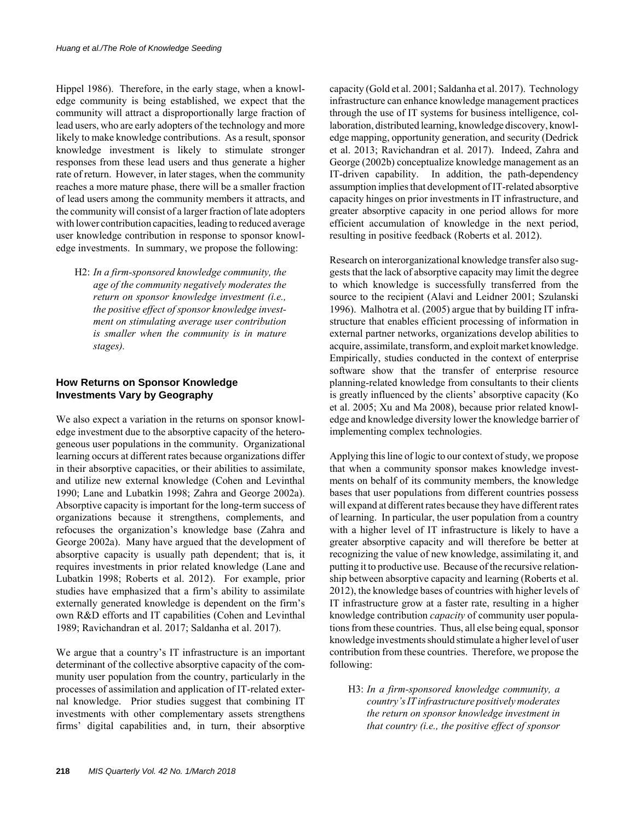Hippel 1986). Therefore, in the early stage, when a knowledge community is being established, we expect that the community will attract a disproportionally large fraction of lead users, who are early adopters of the technology and more likely to make knowledge contributions. As a result, sponsor knowledge investment is likely to stimulate stronger responses from these lead users and thus generate a higher rate of return. However, in later stages, when the community reaches a more mature phase, there will be a smaller fraction of lead users among the community members it attracts, and the community will consist of a larger fraction of late adopters with lower contribution capacities, leading to reduced average user knowledge contribution in response to sponsor knowledge investments. In summary, we propose the following:

H2: *In a firm-sponsored knowledge community, the age of the community negatively moderates the return on sponsor knowledge investment (i.e., the positive effect of sponsor knowledge investment on stimulating average user contribution is smaller when the community is in mature stages).*

# **How Returns on Sponsor Knowledge Investments Vary by Geography**

We also expect a variation in the returns on sponsor knowledge investment due to the absorptive capacity of the heterogeneous user populations in the community. Organizational learning occurs at different rates because organizations differ in their absorptive capacities, or their abilities to assimilate, and utilize new external knowledge (Cohen and Levinthal 1990; Lane and Lubatkin 1998; Zahra and George 2002a). Absorptive capacity is important for the long-term success of organizations because it strengthens, complements, and refocuses the organization's knowledge base (Zahra and George 2002a). Many have argued that the development of absorptive capacity is usually path dependent; that is, it requires investments in prior related knowledge (Lane and Lubatkin 1998; Roberts et al. 2012). For example, prior studies have emphasized that a firm's ability to assimilate externally generated knowledge is dependent on the firm's own R&D efforts and IT capabilities (Cohen and Levinthal 1989; Ravichandran et al. 2017; Saldanha et al. 2017).

We argue that a country's IT infrastructure is an important determinant of the collective absorptive capacity of the community user population from the country, particularly in the processes of assimilation and application of IT-related external knowledge. Prior studies suggest that combining IT investments with other complementary assets strengthens firms' digital capabilities and, in turn, their absorptive capacity (Gold et al. 2001; Saldanha et al. 2017). Technology infrastructure can enhance knowledge management practices through the use of IT systems for business intelligence, collaboration, distributed learning, knowledge discovery, knowledge mapping, opportunity generation, and security (Dedrick et al. 2013; Ravichandran et al. 2017). Indeed, Zahra and George (2002b) conceptualize knowledge management as an IT-driven capability. In addition, the path-dependency assumption implies that development of IT-related absorptive capacity hinges on prior investments in IT infrastructure, and greater absorptive capacity in one period allows for more efficient accumulation of knowledge in the next period, resulting in positive feedback (Roberts et al. 2012).

Research on interorganizational knowledge transfer also suggests that the lack of absorptive capacity may limit the degree to which knowledge is successfully transferred from the source to the recipient (Alavi and Leidner 2001; Szulanski 1996). Malhotra et al. (2005) argue that by building IT infrastructure that enables efficient processing of information in external partner networks, organizations develop abilities to acquire, assimilate, transform, and exploit market knowledge. Empirically, studies conducted in the context of enterprise software show that the transfer of enterprise resource planning-related knowledge from consultants to their clients is greatly influenced by the clients' absorptive capacity (Ko et al. 2005; Xu and Ma 2008), because prior related knowledge and knowledge diversity lower the knowledge barrier of implementing complex technologies.

Applying this line of logic to our context of study, we propose that when a community sponsor makes knowledge investments on behalf of its community members, the knowledge bases that user populations from different countries possess will expand at different rates because they have different rates of learning. In particular, the user population from a country with a higher level of IT infrastructure is likely to have a greater absorptive capacity and will therefore be better at recognizing the value of new knowledge, assimilating it, and putting it to productive use. Because of the recursive relationship between absorptive capacity and learning (Roberts et al. 2012), the knowledge bases of countries with higher levels of IT infrastructure grow at a faster rate, resulting in a higher knowledge contribution *capacity* of community user populations from these countries. Thus, all else being equal, sponsor knowledge investments should stimulate a higher level of user contribution from these countries. Therefore, we propose the following:

H3: *In a firm-sponsored knowledge community, a country's IT infrastructure positively moderates the return on sponsor knowledge investment in that country (i.e., the positive effect of sponsor*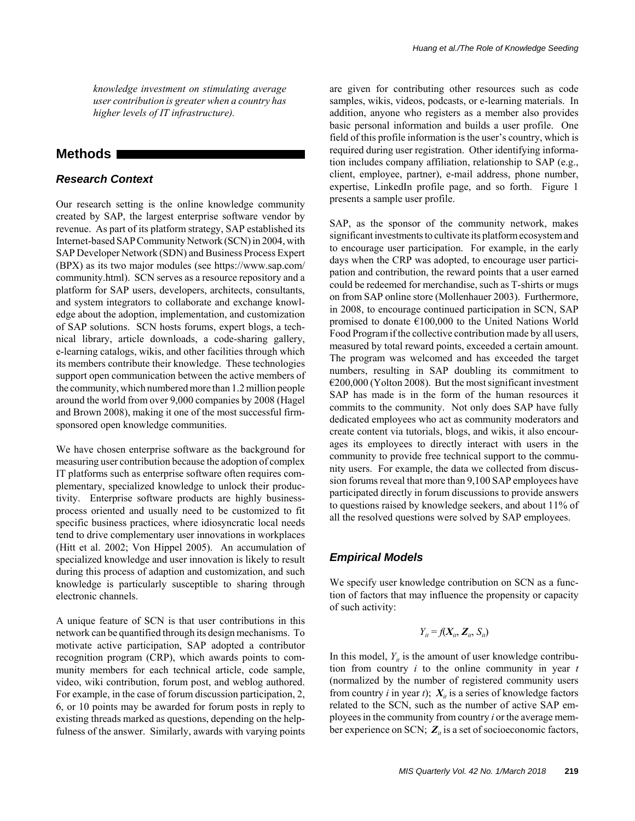*knowledge investment on stimulating average user contribution is greater when a country has higher levels of IT infrastructure).*

# **Methods**

### *Research Context*

Our research setting is the online knowledge community created by SAP, the largest enterprise software vendor by revenue. As part of its platform strategy, SAP established its Internet-based SAP Community Network (SCN) in 2004, with SAP Developer Network (SDN) and Business Process Expert (BPX) as its two major modules (see https://www.sap.com/ community.html). SCN serves as a resource repository and a platform for SAP users, developers, architects, consultants, and system integrators to collaborate and exchange knowledge about the adoption, implementation, and customization of SAP solutions. SCN hosts forums, expert blogs, a technical library, article downloads, a code-sharing gallery, e-learning catalogs, wikis, and other facilities through which its members contribute their knowledge. These technologies support open communication between the active members of the community, which numbered more than 1.2 million people around the world from over 9,000 companies by 2008 (Hagel and Brown 2008), making it one of the most successful firmsponsored open knowledge communities.

We have chosen enterprise software as the background for measuring user contribution because the adoption of complex IT platforms such as enterprise software often requires complementary, specialized knowledge to unlock their productivity. Enterprise software products are highly businessprocess oriented and usually need to be customized to fit specific business practices, where idiosyncratic local needs tend to drive complementary user innovations in workplaces (Hitt et al. 2002; Von Hippel 2005). An accumulation of specialized knowledge and user innovation is likely to result during this process of adaption and customization, and such knowledge is particularly susceptible to sharing through electronic channels.

A unique feature of SCN is that user contributions in this network can be quantified through its design mechanisms. To motivate active participation, SAP adopted a contributor recognition program (CRP), which awards points to community members for each technical article, code sample, video, wiki contribution, forum post, and weblog authored. For example, in the case of forum discussion participation, 2, 6, or 10 points may be awarded for forum posts in reply to existing threads marked as questions, depending on the helpfulness of the answer. Similarly, awards with varying points are given for contributing other resources such as code samples, wikis, videos, podcasts, or e-learning materials. In addition, anyone who registers as a member also provides basic personal information and builds a user profile. One field of this profile information is the user's country, which is required during user registration. Other identifying information includes company affiliation, relationship to SAP (e.g., client, employee, partner), e-mail address, phone number, expertise, LinkedIn profile page, and so forth. Figure 1 presents a sample user profile.

SAP, as the sponsor of the community network, makes significant investments to cultivate its platform ecosystem and to encourage user participation. For example, in the early days when the CRP was adopted, to encourage user participation and contribution, the reward points that a user earned could be redeemed for merchandise, such as T-shirts or mugs on from SAP online store (Mollenhauer 2003). Furthermore, in 2008, to encourage continued participation in SCN, SAP promised to donate €100,000 to the United Nations World Food Program if the collective contribution made by all users, measured by total reward points, exceeded a certain amount. The program was welcomed and has exceeded the target numbers, resulting in SAP doubling its commitment to  $\epsilon$ 200,000 (Yolton 2008). But the most significant investment SAP has made is in the form of the human resources it commits to the community. Not only does SAP have fully dedicated employees who act as community moderators and create content via tutorials, blogs, and wikis, it also encourages its employees to directly interact with users in the community to provide free technical support to the community users. For example, the data we collected from discussion forums reveal that more than 9,100 SAP employees have participated directly in forum discussions to provide answers to questions raised by knowledge seekers, and about 11% of all the resolved questions were solved by SAP employees.

### *Empirical Models*

We specify user knowledge contribution on SCN as a function of factors that may influence the propensity or capacity of such activity:

$$
Y_{it} = f(X_{it}, Z_{it}, S_{it})
$$

In this model,  $Y_{it}$  is the amount of user knowledge contribution from country *i* to the online community in year *t* (normalized by the number of registered community users from country *i* in year *t*);  $X_i$  is a series of knowledge factors related to the SCN, such as the number of active SAP employees in the community from country *i* or the average member experience on SCN;  $Z_{it}$  is a set of socioeconomic factors,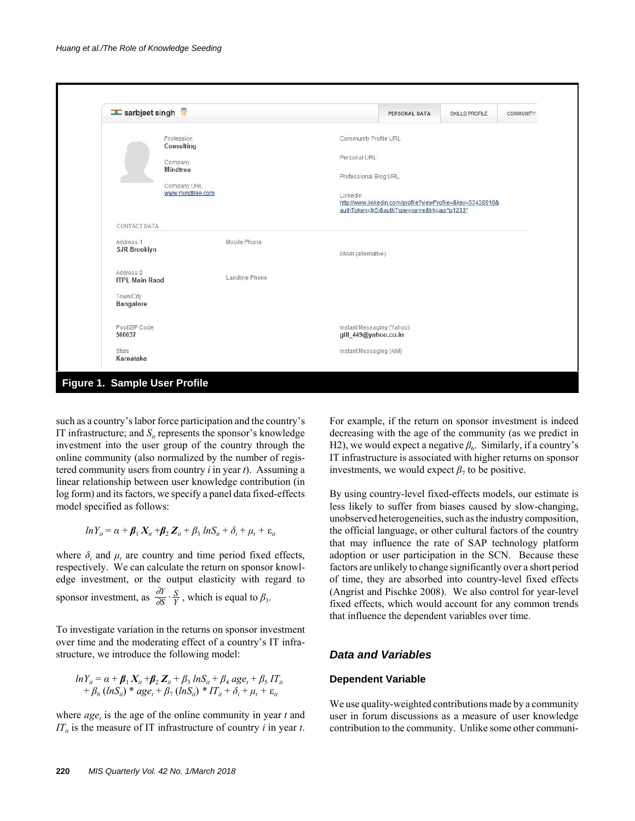| sarbjeet singh                                |                |                                                                                                                       | <b>PERSONAL DATA</b> | <b>SKILLS PROFILE</b> | <b>COMMUNITY</b> |  |  |
|-----------------------------------------------|----------------|-----------------------------------------------------------------------------------------------------------------------|----------------------|-----------------------|------------------|--|--|
| Profession<br>Consulting                      |                | Community Profile URL                                                                                                 |                      |                       |                  |  |  |
| Company<br><b>Mindtree</b>                    |                |                                                                                                                       | Personal URL         |                       |                  |  |  |
|                                               |                | Professional Blog URL                                                                                                 |                      |                       |                  |  |  |
| Company URL<br>www.mindtree.com               |                | LinkedIn<br>http://www.linkedin.com/profile?viewProfile=&key=53438916&<br>authToken=lk5j&authType=name&trk=api*p1203* |                      |                       |                  |  |  |
| <b>CONTACT DATA</b>                           |                |                                                                                                                       |                      |                       |                  |  |  |
| Address 1<br><b>SJR Brooklyn</b>              | Mobile Phone   | EMail (alternative)                                                                                                   |                      |                       |                  |  |  |
| Address <sub>2</sub><br><b>ITPL Main Raod</b> | Landline Phone |                                                                                                                       |                      |                       |                  |  |  |
| Town/City<br>Bangalore                        |                |                                                                                                                       |                      |                       |                  |  |  |
| Post/ZIP Code<br>560037                       |                | Instant Messaging (Yahoo)<br>gill_449@yahoo.co.in                                                                     |                      |                       |                  |  |  |
| State<br>Karnataka                            |                | Instant Messaging (AIM)                                                                                               |                      |                       |                  |  |  |

such as a country's labor force participation and the country's IT infrastructure; and  $S_{it}$  represents the sponsor's knowledge investment into the user group of the country through the online community (also normalized by the number of registered community users from country *i* in year *t*). Assuming a linear relationship between user knowledge contribution (in log form) and its factors, we specify a panel data fixed-effects model specified as follows:

$$
ln Y_{it} = \alpha + \beta_1 X_{it} + \beta_2 Z_{it} + \beta_3 ln S_{it} + \delta_i + \mu_t + \varepsilon_{it}
$$

where  $\delta_i$  and  $\mu_t$  are country and time period fixed effects, respectively. We can calculate the return on sponsor knowledge investment, or the output elasticity with regard to sponsor investment, as  $\frac{\partial Y}{\partial S} \cdot \frac{S}{Y}$ , which is equal to  $\beta_3$ . *Y S S Y*⋅

To investigate variation in the returns on sponsor investment over time and the moderating effect of a country's IT infrastructure, we introduce the following model:

$$
ln Y_{it} = \alpha + \beta_1 X_{it} + \beta_2 Z_{it} + \beta_3 lnS_{it} + \beta_4 age_t + \beta_5 IT_{it}
$$
  
+  $\beta_6 (lnS_{it})$  \*  $age_t + \beta_7 (lnS_{it})$  \*  $IT_{it} + \delta_i + \mu_t + \varepsilon_{it}$ 

where  $age<sub>t</sub>$  is the age of the online community in year  $t$  and  $IT_{it}$  is the measure of IT infrastructure of country *i* in year *t*. For example, if the return on sponsor investment is indeed decreasing with the age of the community (as we predict in H2), we would expect a negative  $\beta_6$ . Similarly, if a country's IT infrastructure is associated with higher returns on sponsor investments, we would expect  $\beta_7$  to be positive.

By using country-level fixed-effects models, our estimate is less likely to suffer from biases caused by slow-changing, unobserved heterogeneities, such as the industry composition, the official language, or other cultural factors of the country that may influence the rate of SAP technology platform adoption or user participation in the SCN. Because these factors are unlikely to change significantly over a short period of time, they are absorbed into country-level fixed effects (Angrist and Pischke 2008). We also control for year-level fixed effects, which would account for any common trends that influence the dependent variables over time.

#### *Data and Variables*

#### **Dependent Variable**

We use quality-weighted contributions made by a community user in forum discussions as a measure of user knowledge contribution to the community. Unlike some other communi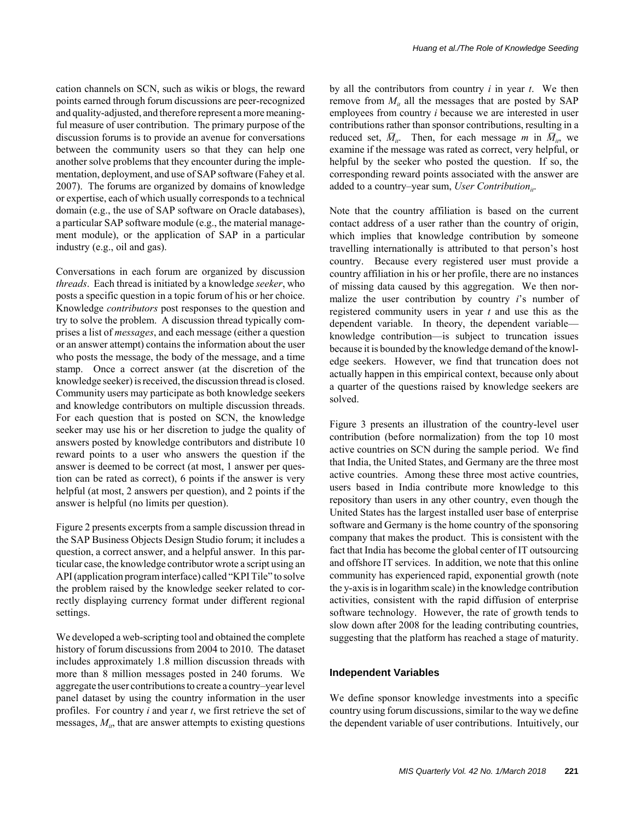cation channels on SCN, such as wikis or blogs, the reward points earned through forum discussions are peer-recognized and quality-adjusted, and therefore represent a more meaningful measure of user contribution. The primary purpose of the discussion forums is to provide an avenue for conversations between the community users so that they can help one another solve problems that they encounter during the implementation, deployment, and use of SAP software (Fahey et al. 2007). The forums are organized by domains of knowledge or expertise, each of which usually corresponds to a technical domain (e.g., the use of SAP software on Oracle databases), a particular SAP software module (e.g., the material management module), or the application of SAP in a particular industry (e.g., oil and gas).

Conversations in each forum are organized by discussion *threads*. Each thread is initiated by a knowledge *seeker*, who posts a specific question in a topic forum of his or her choice. Knowledge *contributors* post responses to the question and try to solve the problem. A discussion thread typically comprises a list of *messages*, and each message (either a question or an answer attempt) contains the information about the user who posts the message, the body of the message, and a time stamp. Once a correct answer (at the discretion of the knowledge seeker) is received, the discussion thread is closed. Community users may participate as both knowledge seekers and knowledge contributors on multiple discussion threads. For each question that is posted on SCN, the knowledge seeker may use his or her discretion to judge the quality of answers posted by knowledge contributors and distribute 10 reward points to a user who answers the question if the answer is deemed to be correct (at most, 1 answer per question can be rated as correct), 6 points if the answer is very helpful (at most, 2 answers per question), and 2 points if the answer is helpful (no limits per question).

Figure 2 presents excerpts from a sample discussion thread in the SAP Business Objects Design Studio forum; it includes a question, a correct answer, and a helpful answer. In this particular case, the knowledge contributor wrote a script using an API (application program interface) called "KPI Tile" to solve the problem raised by the knowledge seeker related to correctly displaying currency format under different regional settings.

We developed a web-scripting tool and obtained the complete history of forum discussions from 2004 to 2010. The dataset includes approximately 1.8 million discussion threads with more than 8 million messages posted in 240 forums. We aggregate the user contributions to create a country–year level panel dataset by using the country information in the user profiles. For country *i* and year *t*, we first retrieve the set of messages,  $M_{it}$ , that are answer attempts to existing questions

by all the contributors from country *i* in year *t*. We then remove from  $M_{ij}$  all the messages that are posted by SAP employees from country *i* because we are interested in user contributions rather than sponsor contributions, resulting in a reduced set,  $\overline{M}_{ii}$ . Then, for each message *m* in  $\overline{M}_{ii}$ , we examine if the message was rated as correct, very helpful, or helpful by the seeker who posted the question. If so, the corresponding reward points associated with the answer are added to a country–year sum, *User Contribution*<sub>it</sub>.

Note that the country affiliation is based on the current contact address of a user rather than the country of origin, which implies that knowledge contribution by someone travelling internationally is attributed to that person's host country. Because every registered user must provide a country affiliation in his or her profile, there are no instances of missing data caused by this aggregation. We then normalize the user contribution by country *i*'s number of registered community users in year *t* and use this as the dependent variable. In theory, the dependent variable knowledge contribution—is subject to truncation issues because it is bounded by the knowledge demand of the knowledge seekers. However, we find that truncation does not actually happen in this empirical context, because only about a quarter of the questions raised by knowledge seekers are solved.

Figure 3 presents an illustration of the country-level user contribution (before normalization) from the top 10 most active countries on SCN during the sample period. We find that India, the United States, and Germany are the three most active countries. Among these three most active countries, users based in India contribute more knowledge to this repository than users in any other country, even though the United States has the largest installed user base of enterprise software and Germany is the home country of the sponsoring company that makes the product. This is consistent with the fact that India has become the global center of IT outsourcing and offshore IT services. In addition, we note that this online community has experienced rapid, exponential growth (note the y-axis is in logarithm scale) in the knowledge contribution activities, consistent with the rapid diffusion of enterprise software technology. However, the rate of growth tends to slow down after 2008 for the leading contributing countries, suggesting that the platform has reached a stage of maturity.

#### **Independent Variables**

We define sponsor knowledge investments into a specific country using forum discussions, similar to the way we define the dependent variable of user contributions. Intuitively, our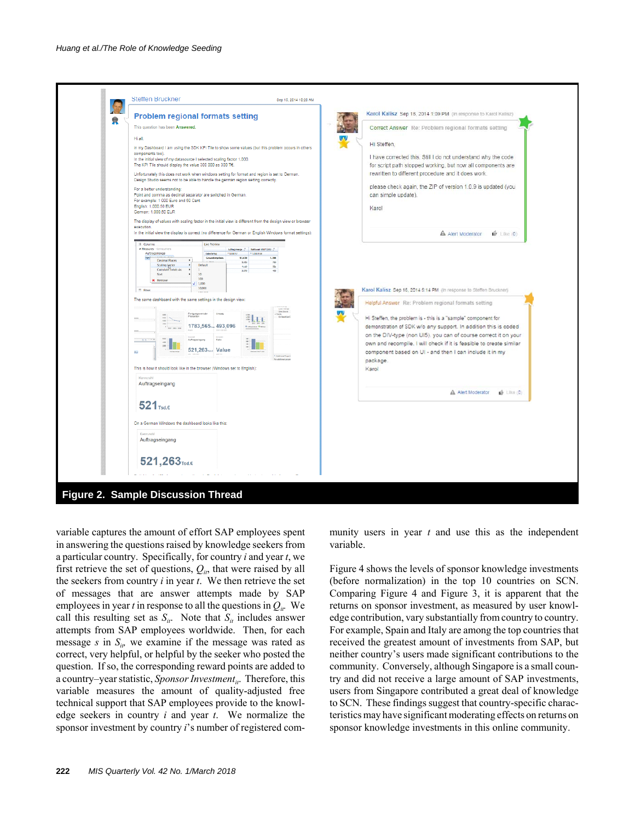| $\mathbb{R}$ | <b>Problem regional formats setting</b>                                                                                                                                                                                                                                  | Karol Kalisz Sep 18, 2014 1:09 PM (in response to Karol Kalisz)                                                                                                                                                                                                                                                                                            |
|--------------|--------------------------------------------------------------------------------------------------------------------------------------------------------------------------------------------------------------------------------------------------------------------------|------------------------------------------------------------------------------------------------------------------------------------------------------------------------------------------------------------------------------------------------------------------------------------------------------------------------------------------------------------|
|              | This question has been Answered.                                                                                                                                                                                                                                         | Correct Answer Re: Problem regional formats setting                                                                                                                                                                                                                                                                                                        |
|              | Hi all.                                                                                                                                                                                                                                                                  |                                                                                                                                                                                                                                                                                                                                                            |
|              | in my Dashboard I am using the SDK KPI Tile to show some values (but this problem occurs in others<br>components too).                                                                                                                                                   | Hi Steffen,                                                                                                                                                                                                                                                                                                                                                |
|              | In the initial view of my datasource I selected scaling factor 1,000.<br>The KPI Tile should display the value 300 000 as 300 TE.                                                                                                                                        | I have corrected this. Still I do not understand why the code<br>for script path stopped working, but now all components are                                                                                                                                                                                                                               |
|              | Unfortunately this does not work when windows setting for format and region is set to German.                                                                                                                                                                            | rewritten to different procedure and it does work.                                                                                                                                                                                                                                                                                                         |
|              | Design Studio seems not to be able to handle the german region setting correctly.                                                                                                                                                                                        |                                                                                                                                                                                                                                                                                                                                                            |
|              | For a better understanding:<br>Point and comma as decimal separator are switched in German.                                                                                                                                                                              | please check again, the ZIP of version 1.0.9 is updated (you<br>can simple update).                                                                                                                                                                                                                                                                        |
|              | For example: 1 000 Euro and 50 Cent<br>English: 1,000.50 EUR                                                                                                                                                                                                             |                                                                                                                                                                                                                                                                                                                                                            |
|              | German: 1.000.50 EUR                                                                                                                                                                                                                                                     | Karol                                                                                                                                                                                                                                                                                                                                                      |
|              | The display of values with scaling factor in the initial view is different from the design view or browser<br>execution.                                                                                                                                                 |                                                                                                                                                                                                                                                                                                                                                            |
|              | In the initial view the display is correct (no difference for German or English Windows format settings):                                                                                                                                                                | A Alert Moderator<br>$\mathbb{P}$ like $\mathbb{O}$                                                                                                                                                                                                                                                                                                        |
|              | The same dashboard with the same settings in the design view:                                                                                                                                                                                                            | Helpful Answer Re: Problem regional formats setting                                                                                                                                                                                                                                                                                                        |
|              | Ferigungsvert der<br>ELLI.<br>1783,565. 493,096<br>$1 - m$<br><b>Reasons Re</b><br>E <sub>l</sub><br>Rato<br>president automak<br>521,263 <sub>mas</sub> Value<br>06.1<br><b>African con</b><br>This is how it should look like in the browser (Windows set to English): | Hi Steffen, the problem is - this is a "sample" component for<br>demonstration of SDK w/o any support. In addition this is coded<br>on the DIV-type (non UI5), you can of course correct it on your<br>own and recompile. I will check if it is feasible to create similar<br>component based on UI - and then I can include it in my<br>package.<br>Karol |
|              | Kennzahl<br>Auftragseingang                                                                                                                                                                                                                                              | A Alert Moderator<br>6.188(0)                                                                                                                                                                                                                                                                                                                              |
|              | $521_{\text{rad}}$                                                                                                                                                                                                                                                       |                                                                                                                                                                                                                                                                                                                                                            |
|              | On a German Windows the dashboard looks like this:                                                                                                                                                                                                                       |                                                                                                                                                                                                                                                                                                                                                            |
|              | Kennzahl<br>Auftragseingang                                                                                                                                                                                                                                              |                                                                                                                                                                                                                                                                                                                                                            |

variable captures the amount of effort SAP employees spent in answering the questions raised by knowledge seekers from a particular country. Specifically, for country *i* and year *t*, we first retrieve the set of questions,  $Q_{ir}$ , that were raised by all the seekers from country *i* in year *t*. We then retrieve the set of messages that are answer attempts made by SAP employees in year *t* in response to all the questions in  $Q_{ir}$ . We call this resulting set as  $S_{it}$ . Note that  $S_{it}$  includes answer attempts from SAP employees worldwide. Then, for each message *s* in  $S_{i\theta}$  we examine if the message was rated as correct, very helpful, or helpful by the seeker who posted the question. If so, the corresponding reward points are added to a country–year statistic, *Sponsor Investment<sub>it</sub>*. Therefore, this variable measures the amount of quality-adjusted free technical support that SAP employees provide to the knowledge seekers in country *i* and year *t*. We normalize the sponsor investment by country *i*'s number of registered community users in year *t* and use this as the independent variable.

Figure 4 shows the levels of sponsor knowledge investments (before normalization) in the top 10 countries on SCN. Comparing Figure 4 and Figure 3, it is apparent that the returns on sponsor investment, as measured by user knowledge contribution, vary substantially from country to country. For example, Spain and Italy are among the top countries that received the greatest amount of investments from SAP, but neither country's users made significant contributions to the community. Conversely, although Singapore is a small country and did not receive a large amount of SAP investments, users from Singapore contributed a great deal of knowledge to SCN. These findings suggest that country-specific characteristics may have significant moderating effects on returns on sponsor knowledge investments in this online community.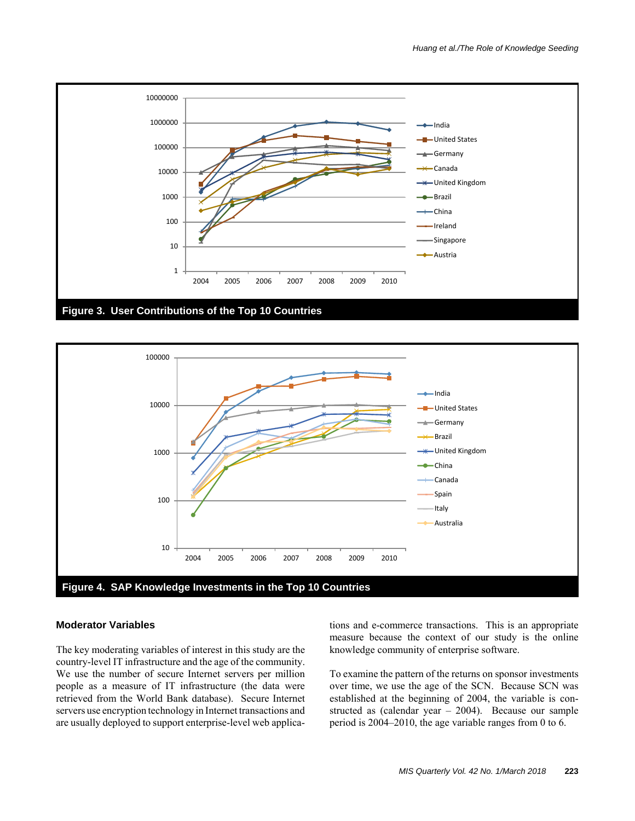



#### **Moderator Variables**

The key moderating variables of interest in this study are the country-level IT infrastructure and the age of the community. We use the number of secure Internet servers per million people as a measure of IT infrastructure (the data were retrieved from the World Bank database). Secure Internet servers use encryption technology in Internet transactions and are usually deployed to support enterprise-level web applications and e-commerce transactions. This is an appropriate measure because the context of our study is the online knowledge community of enterprise software.

To examine the pattern of the returns on sponsor investments over time, we use the age of the SCN. Because SCN was established at the beginning of 2004, the variable is constructed as (calendar year – 2004). Because our sample period is 2004–2010, the age variable ranges from 0 to 6.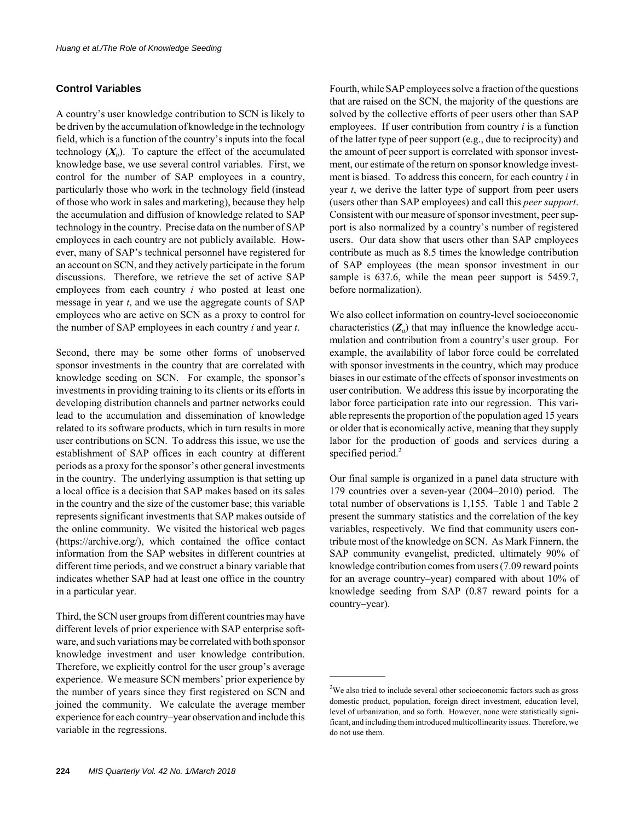### **Control Variables**

A country's user knowledge contribution to SCN is likely to be driven by the accumulation of knowledge in the technology field, which is a function of the country's inputs into the focal technology  $(X_i)$ . To capture the effect of the accumulated knowledge base, we use several control variables. First, we control for the number of SAP employees in a country, particularly those who work in the technology field (instead of those who work in sales and marketing), because they help the accumulation and diffusion of knowledge related to SAP technology in the country. Precise data on the number of SAP employees in each country are not publicly available. However, many of SAP's technical personnel have registered for an account on SCN, and they actively participate in the forum discussions. Therefore, we retrieve the set of active SAP employees from each country *i* who posted at least one message in year *t*, and we use the aggregate counts of SAP employees who are active on SCN as a proxy to control for the number of SAP employees in each country *i* and year *t*.

Second, there may be some other forms of unobserved sponsor investments in the country that are correlated with knowledge seeding on SCN. For example, the sponsor's investments in providing training to its clients or its efforts in developing distribution channels and partner networks could lead to the accumulation and dissemination of knowledge related to its software products, which in turn results in more user contributions on SCN. To address this issue, we use the establishment of SAP offices in each country at different periods as a proxy for the sponsor's other general investments in the country. The underlying assumption is that setting up a local office is a decision that SAP makes based on its sales in the country and the size of the customer base; this variable represents significant investments that SAP makes outside of the online community. We visited the historical web pages (https://archive.org/), which contained the office contact information from the SAP websites in different countries at different time periods, and we construct a binary variable that indicates whether SAP had at least one office in the country in a particular year.

Third, the SCN user groups from different countries may have different levels of prior experience with SAP enterprise software, and such variations may be correlated with both sponsor knowledge investment and user knowledge contribution. Therefore, we explicitly control for the user group's average experience. We measure SCN members' prior experience by the number of years since they first registered on SCN and joined the community. We calculate the average member experience for each country–year observation and include this variable in the regressions.

Fourth, while SAP employees solve a fraction of the questions that are raised on the SCN, the majority of the questions are solved by the collective efforts of peer users other than SAP employees. If user contribution from country *i* is a function of the latter type of peer support (e.g., due to reciprocity) and the amount of peer support is correlated with sponsor investment, our estimate of the return on sponsor knowledge investment is biased. To address this concern, for each country *i* in year *t*, we derive the latter type of support from peer users (users other than SAP employees) and call this *peer support*. Consistent with our measure of sponsor investment, peer support is also normalized by a country's number of registered users. Our data show that users other than SAP employees contribute as much as 8.5 times the knowledge contribution of SAP employees (the mean sponsor investment in our sample is 637.6, while the mean peer support is 5459.7, before normalization).

We also collect information on country-level socioeconomic characteristics  $(Z_{ii})$  that may influence the knowledge accumulation and contribution from a country's user group. For example, the availability of labor force could be correlated with sponsor investments in the country, which may produce biases in our estimate of the effects of sponsor investments on user contribution. We address this issue by incorporating the labor force participation rate into our regression. This variable represents the proportion of the population aged 15 years or older that is economically active, meaning that they supply labor for the production of goods and services during a specified period.<sup>2</sup>

Our final sample is organized in a panel data structure with 179 countries over a seven-year (2004–2010) period. The total number of observations is 1,155. Table 1 and Table 2 present the summary statistics and the correlation of the key variables, respectively. We find that community users contribute most of the knowledge on SCN. As Mark Finnern, the SAP community evangelist, predicted, ultimately 90% of knowledge contribution comes from users (7.09 reward points for an average country–year) compared with about 10% of knowledge seeding from SAP (0.87 reward points for a country–year).

 $2$ We also tried to include several other socioeconomic factors such as gross domestic product, population, foreign direct investment, education level, level of urbanization, and so forth. However, none were statistically significant, and including them introduced multicollinearity issues. Therefore, we do not use them.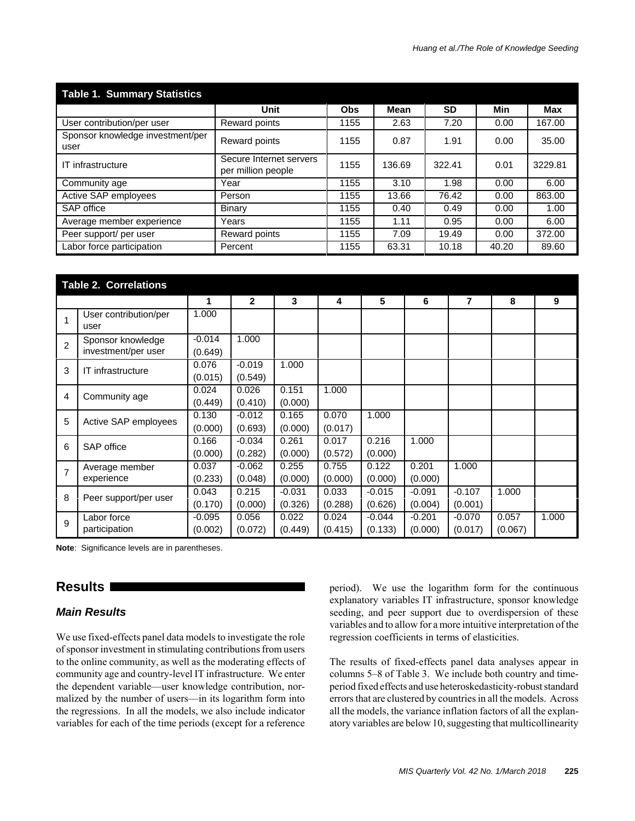| <b>Table 1. Summary Statistics</b>       |                                               |            |        |           |       |         |  |
|------------------------------------------|-----------------------------------------------|------------|--------|-----------|-------|---------|--|
|                                          | Unit                                          | <b>Obs</b> | Mean   | <b>SD</b> | Min   | Max     |  |
| User contribution/per user               | Reward points                                 | 1155       | 2.63   | 7.20      | 0.00  | 167.00  |  |
| Sponsor knowledge investment/per<br>user | Reward points                                 | 1155       | 0.87   | 1.91      | 0.00  | 35.00   |  |
| IT infrastructure                        | Secure Internet servers<br>per million people | 1155       | 136.69 | 322.41    | 0.01  | 3229.81 |  |
| Community age                            | Year                                          | 1155       | 3.10   | 1.98      | 0.00  | 6.00    |  |
| Active SAP employees                     | Person                                        | 1155       | 13.66  | 76.42     | 0.00  | 863.00  |  |
| SAP office                               | Binary                                        | 1155       | 0.40   | 0.49      | 0.00  | 1.00    |  |
| Average member experience                | Years                                         | 1155       | 1.11   | 0.95      | 0.00  | 6.00    |  |
| Peer support/ per user                   | Reward points                                 | 1155       | 7.09   | 19.49     | 0.00  | 372.00  |  |
| Labor force participation                | Percent                                       | 1155       | 63.31  | 10.18     | 40.20 | 89.60   |  |

|                | <b>Table 2. Correlations</b>             |                     |                     |                     |                  |                     |                     |                     |                  |       |
|----------------|------------------------------------------|---------------------|---------------------|---------------------|------------------|---------------------|---------------------|---------------------|------------------|-------|
|                |                                          | 1                   | $\mathbf{2}$        | 3                   | 4                | 5                   | 6                   | 7                   | 8                | 9     |
| $\mathbf{1}$   | User contribution/per<br>user            | 1.000               |                     |                     |                  |                     |                     |                     |                  |       |
| $\overline{2}$ | Sponsor knowledge<br>investment/per user | $-0.014$<br>(0.649) | 1.000               |                     |                  |                     |                     |                     |                  |       |
| 3              | IT infrastructure                        | 0.076<br>(0.015)    | $-0.019$<br>(0.549) | 1.000               |                  |                     |                     |                     |                  |       |
| $\overline{4}$ | Community age                            | 0.024<br>(0.449)    | 0.026<br>(0.410)    | 0.151<br>(0.000)    | 1.000            |                     |                     |                     |                  |       |
| 5              | Active SAP employees                     | 0.130<br>(0.000)    | $-0.012$<br>(0.693) | 0.165<br>(0.000)    | 0.070<br>(0.017) | 1.000               |                     |                     |                  |       |
| 6              | SAP office                               | 0.166<br>(0.000)    | $-0.034$<br>(0.282) | 0.261<br>(0.000)    | 0.017<br>(0.572) | 0.216<br>(0.000)    | 1.000               |                     |                  |       |
| $\overline{7}$ | Average member<br>experience             | 0.037<br>(0.233)    | $-0.062$<br>(0.048) | 0.255<br>(0.000)    | 0.755<br>(0.000) | 0.122<br>(0.000)    | 0.201<br>(0.000)    | 1.000               |                  |       |
| 8              | Peer support/per user                    | 0.043<br>(0.170)    | 0.215<br>(0.000)    | $-0.031$<br>(0.326) | 0.033<br>(0.288) | $-0.015$<br>(0.626) | $-0.091$<br>(0.004) | $-0.107$<br>(0.001) | 1.000            |       |
| 9              | Labor force<br>participation             | -0.095<br>(0.002)   | 0.056<br>(0.072)    | 0.022<br>(0.449)    | 0.024<br>(0.415) | $-0.044$<br>(0.133) | $-0.201$<br>(0.000) | $-0.070$<br>(0.017) | 0.057<br>(0.067) | 1.000 |

**Note**: Significance levels are in parentheses.

# **Results**

# *Main Results*

We use fixed-effects panel data models to investigate the role of sponsor investment in stimulating contributions from users to the online community, as well as the moderating effects of community age and country-level IT infrastructure. We enter the dependent variable—user knowledge contribution, normalized by the number of users—in its logarithm form into the regressions. In all the models, we also include indicator variables for each of the time periods (except for a reference period). We use the logarithm form for the continuous explanatory variables IT infrastructure, sponsor knowledge seeding, and peer support due to overdispersion of these variables and to allow for a more intuitive interpretation of the regression coefficients in terms of elasticities.

The results of fixed-effects panel data analyses appear in columns 5–8 of Table 3. We include both country and timeperiod fixed effects and use heteroskedasticity-robust standard errors that are clustered by countries in all the models. Across all the models, the variance inflation factors of all the explanatory variables are below 10, suggesting that multicollinearity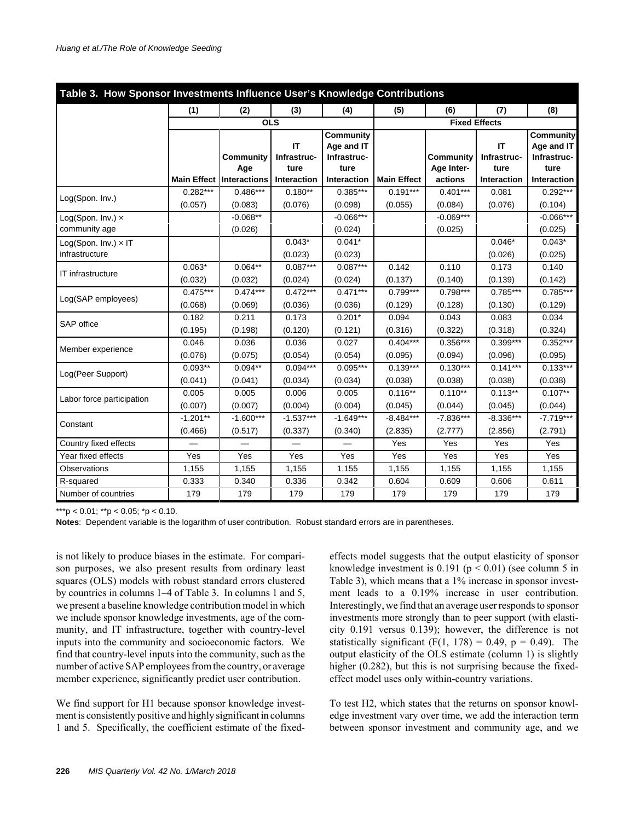| Table 3. How Sponsor Investments Influence User's Knowledge Contributions |                                 |                        |                        |                         |                        |                         |                        |                         |
|---------------------------------------------------------------------------|---------------------------------|------------------------|------------------------|-------------------------|------------------------|-------------------------|------------------------|-------------------------|
|                                                                           | (1)                             | (2)                    | (3)                    | (4)                     | (5)                    | (6)                     | (7)                    | (8)                     |
|                                                                           | <b>OLS</b>                      |                        |                        |                         |                        |                         | <b>Fixed Effects</b>   |                         |
|                                                                           |                                 |                        | IT                     | Community<br>Age and IT |                        |                         | IT                     | Community<br>Age and IT |
|                                                                           |                                 | Community<br>Age       | Infrastruc-<br>ture    | Infrastruc-<br>ture     |                        | Community<br>Age Inter- | Infrastruc-<br>ture    | Infrastruc-<br>ture     |
|                                                                           | <b>Main Effect Interactions</b> |                        | Interaction            | Interaction             | <b>Main Effect</b>     | actions                 | Interaction            | Interaction             |
| Log(Spon. Inv.)                                                           | $0.282***$<br>(0.057)           | $0.486***$<br>(0.083)  | $0.180**$<br>(0.076)   | $0.385***$<br>(0.098)   | $0.191***$<br>(0.055)  | $0.401***$<br>(0.084)   | 0.081<br>(0.076)       | $0.292***$<br>(0.104)   |
| Log(Spon. Inv.) x<br>community age                                        |                                 | $-0.068**$<br>(0.026)  |                        | $-0.066***$<br>(0.024)  |                        | $-0.069***$<br>(0.025)  |                        | $-0.066***$<br>(0.025)  |
| Log(Spon. Inv.) x IT<br>infrastructure                                    |                                 |                        | $0.043*$<br>(0.023)    | $0.041*$<br>(0.023)     |                        |                         | $0.046*$<br>(0.026)    | $0.043*$<br>(0.025)     |
| IT infrastructure                                                         | $0.063*$<br>(0.032)             | $0.064**$<br>(0.032)   | $0.087***$<br>(0.024)  | $0.087***$<br>(0.024)   | 0.142<br>(0.137)       | 0.110<br>(0.140)        | 0.173<br>(0.139)       | 0.140<br>(0.142)        |
| Log(SAP employees)                                                        | $0.475***$<br>(0.068)           | $0.474***$<br>(0.069)  | $0.472***$<br>(0.036)  | $0.471***$<br>(0.036)   | $0.799***$<br>(0.129)  | $0.798***$<br>(0.128)   | $0.785***$<br>(0.130)  | $0.785***$<br>(0.129)   |
| SAP office                                                                | 0.182<br>(0.195)                | 0.211<br>(0.198)       | 0.173<br>(0.120)       | $0.201*$<br>(0.121)     | 0.094<br>(0.316)       | 0.043<br>(0.322)        | 0.083<br>(0.318)       | 0.034<br>(0.324)        |
| Member experience                                                         | 0.046<br>(0.076)                | 0.036<br>(0.075)       | 0.036<br>(0.054)       | 0.027<br>(0.054)        | $0.404***$<br>(0.095)  | 0.356***<br>(0.094)     | 0.399***<br>(0.096)    | $0.352***$<br>(0.095)   |
| Log(Peer Support)                                                         | $0.093**$<br>(0.041)            | $0.094**$<br>(0.041)   | $0.094***$<br>(0.034)  | $0.095***$<br>(0.034)   | $0.139***$<br>(0.038)  | $0.130***$<br>(0.038)   | $0.141***$<br>(0.038)  | $0.133***$<br>(0.038)   |
| Labor force participation                                                 | 0.005<br>(0.007)                | 0.005<br>(0.007)       | 0.006<br>(0.004)       | 0.005<br>(0.004)        | $0.116**$<br>(0.045)   | $0.110**$<br>(0.044)    | $0.113**$<br>(0.045)   | $0.107**$<br>(0.044)    |
| Constant                                                                  | $-1.201**$<br>(0.466)           | $-1.600***$<br>(0.517) | $-1.537***$<br>(0.337) | $-1.649***$<br>(0.340)  | $-8.484***$<br>(2.835) | $-7.836***$<br>(2.777)  | $-8.336***$<br>(2.856) | $-7.719***$<br>(2.791)  |
| Country fixed effects                                                     |                                 |                        |                        |                         | Yes                    | Yes                     | Yes                    | Yes                     |
| Year fixed effects                                                        | Yes                             | Yes                    | Yes                    | Yes                     | Yes                    | Yes                     | Yes                    | Yes                     |
| Observations                                                              | 1,155                           | 1,155                  | 1,155                  | 1,155                   | 1,155                  | 1,155                   | 1,155                  | 1,155                   |
| R-squared                                                                 | 0.333                           | 0.340                  | 0.336                  | 0.342                   | 0.604                  | 0.609                   | 0.606                  | 0.611                   |
| Number of countries                                                       | 179                             | 179                    | 179                    | 179                     | 179                    | 179                     | 179                    | 179                     |

**Notes**: Dependent variable is the logarithm of user contribution. Robust standard errors are in parentheses.

is not likely to produce biases in the estimate. For comparison purposes, we also present results from ordinary least squares (OLS) models with robust standard errors clustered by countries in columns 1–4 of Table 3. In columns 1 and 5, we present a baseline knowledge contribution model in which we include sponsor knowledge investments, age of the community, and IT infrastructure, together with country-level inputs into the community and socioeconomic factors. We find that country-level inputs into the community, such as the number of active SAP employees from the country, or average member experience, significantly predict user contribution.

We find support for H1 because sponsor knowledge investment is consistently positive and highly significant in columns 1 and 5. Specifically, the coefficient estimate of the fixedeffects model suggests that the output elasticity of sponsor knowledge investment is  $0.191$  ( $p < 0.01$ ) (see column 5 in Table 3), which means that a 1% increase in sponsor investment leads to a 0.19% increase in user contribution. Interestingly, we find that an average user responds to sponsor investments more strongly than to peer support (with elasticity 0.191 versus 0.139); however, the difference is not statistically significant (F(1, 178) = 0.49,  $p = 0.49$ ). The output elasticity of the OLS estimate (column 1) is slightly higher (0.282), but this is not surprising because the fixedeffect model uses only within-country variations.

To test H2, which states that the returns on sponsor knowledge investment vary over time, we add the interaction term between sponsor investment and community age, and we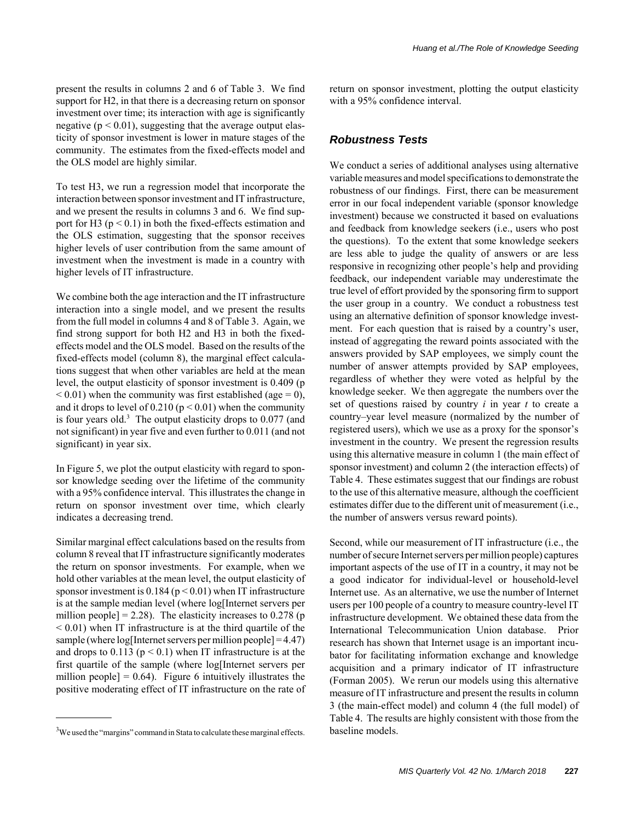present the results in columns 2 and 6 of Table 3. We find support for H2, in that there is a decreasing return on sponsor investment over time; its interaction with age is significantly negative ( $p < 0.01$ ), suggesting that the average output elasticity of sponsor investment is lower in mature stages of the community. The estimates from the fixed-effects model and the OLS model are highly similar.

To test H3, we run a regression model that incorporate the interaction between sponsor investment and IT infrastructure, and we present the results in columns 3 and 6. We find support for H3 ( $p < 0.1$ ) in both the fixed-effects estimation and the OLS estimation, suggesting that the sponsor receives higher levels of user contribution from the same amount of investment when the investment is made in a country with higher levels of IT infrastructure.

We combine both the age interaction and the IT infrastructure interaction into a single model, and we present the results from the full model in columns 4 and 8 of Table 3. Again, we find strong support for both H2 and H3 in both the fixedeffects model and the OLS model. Based on the results of the fixed-effects model (column 8), the marginal effect calculations suggest that when other variables are held at the mean level, the output elasticity of sponsor investment is 0.409 (p  $< 0.01$ ) when the community was first established (age = 0), and it drops to level of  $0.210 (p < 0.01)$  when the community is four years old.<sup>3</sup> The output elasticity drops to  $0.077$  (and not significant) in year five and even further to 0.011 (and not significant) in year six.

In Figure 5, we plot the output elasticity with regard to sponsor knowledge seeding over the lifetime of the community with a 95% confidence interval. This illustrates the change in return on sponsor investment over time, which clearly indicates a decreasing trend.

Similar marginal effect calculations based on the results from column 8 reveal that IT infrastructure significantly moderates the return on sponsor investments. For example, when we hold other variables at the mean level, the output elasticity of sponsor investment is  $0.184$  ( $p < 0.01$ ) when IT infrastructure is at the sample median level (where log[Internet servers per million people] = 2.28). The elasticity increases to  $0.278$  (p  $< 0.01$ ) when IT infrastructure is at the third quartile of the sample (where  $log[$ Internet servers per million people $]=4.47$ ) and drops to  $0.113$  ( $p < 0.1$ ) when IT infrastructure is at the first quartile of the sample (where log[Internet servers per million people]  $= 0.64$ ). Figure 6 intuitively illustrates the positive moderating effect of IT infrastructure on the rate of return on sponsor investment, plotting the output elasticity with a 95% confidence interval.

### *Robustness Tests*

We conduct a series of additional analyses using alternative variable measures and model specifications to demonstrate the robustness of our findings. First, there can be measurement error in our focal independent variable (sponsor knowledge investment) because we constructed it based on evaluations and feedback from knowledge seekers (i.e., users who post the questions). To the extent that some knowledge seekers are less able to judge the quality of answers or are less responsive in recognizing other people's help and providing feedback, our independent variable may underestimate the true level of effort provided by the sponsoring firm to support the user group in a country. We conduct a robustness test using an alternative definition of sponsor knowledge investment. For each question that is raised by a country's user, instead of aggregating the reward points associated with the answers provided by SAP employees, we simply count the number of answer attempts provided by SAP employees, regardless of whether they were voted as helpful by the knowledge seeker. We then aggregate the numbers over the set of questions raised by country *i* in year *t* to create a country–year level measure (normalized by the number of registered users), which we use as a proxy for the sponsor's investment in the country. We present the regression results using this alternative measure in column 1 (the main effect of sponsor investment) and column 2 (the interaction effects) of Table 4. These estimates suggest that our findings are robust to the use of this alternative measure, although the coefficient estimates differ due to the different unit of measurement (i.e., the number of answers versus reward points).

Second, while our measurement of IT infrastructure (i.e., the number of secure Internet servers per million people) captures important aspects of the use of IT in a country, it may not be a good indicator for individual-level or household-level Internet use. As an alternative, we use the number of Internet users per 100 people of a country to measure country-level IT infrastructure development. We obtained these data from the International Telecommunication Union database. Prior research has shown that Internet usage is an important incubator for facilitating information exchange and knowledge acquisition and a primary indicator of IT infrastructure (Forman 2005). We rerun our models using this alternative measure of IT infrastructure and present the results in column 3 (the main-effect model) and column 4 (the full model) of Table 4. The results are highly consistent with those from the

 $3$ We used the "margins" command in Stata to calculate these marginal effects. baseline models.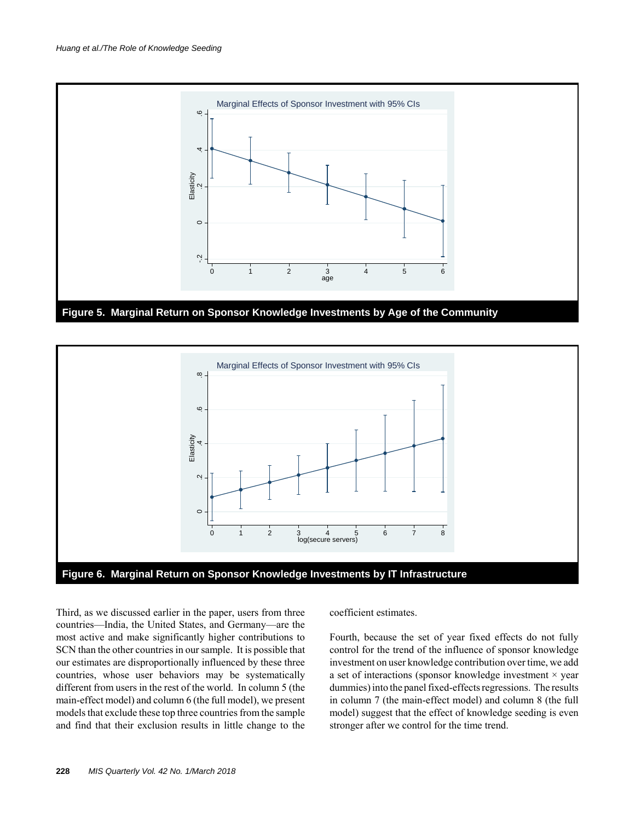



Third, as we discussed earlier in the paper, users from three countries—India, the United States, and Germany—are the most active and make significantly higher contributions to SCN than the other countries in our sample. It is possible that our estimates are disproportionally influenced by these three countries, whose user behaviors may be systematically different from users in the rest of the world. In column 5 (the main-effect model) and column 6 (the full model), we present models that exclude these top three countries from the sample and find that their exclusion results in little change to the coefficient estimates.

Fourth, because the set of year fixed effects do not fully control for the trend of the influence of sponsor knowledge investment on user knowledge contribution over time, we add a set of interactions (sponsor knowledge investment  $\times$  year dummies) into the panel fixed-effects regressions. The results in column 7 (the main-effect model) and column 8 (the full model) suggest that the effect of knowledge seeding is even stronger after we control for the time trend.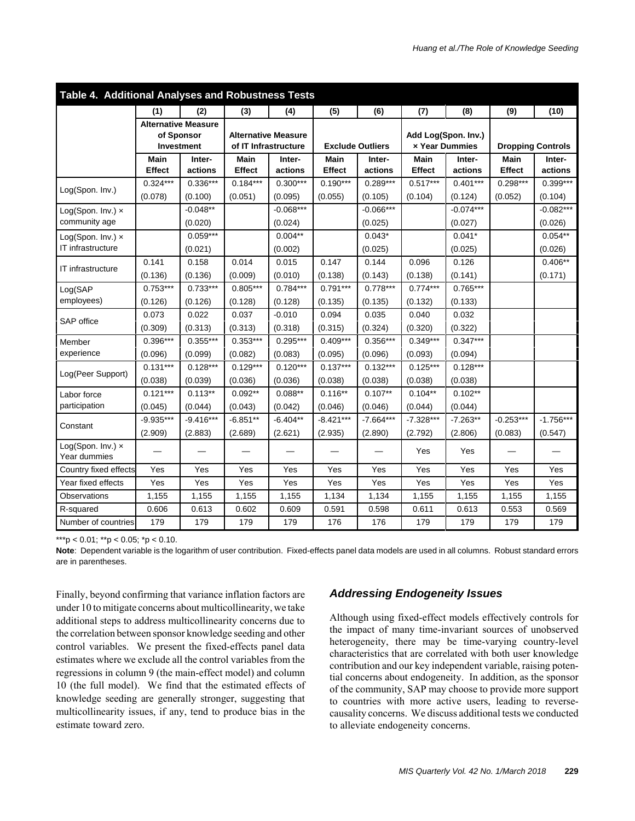| Table 4. Additional Analyses and Robustness Tests |                       |                                                        |                                                    |                       |                         |                       |                       |                                       |                       |                          |
|---------------------------------------------------|-----------------------|--------------------------------------------------------|----------------------------------------------------|-----------------------|-------------------------|-----------------------|-----------------------|---------------------------------------|-----------------------|--------------------------|
|                                                   | (1)                   | (2)                                                    | (3)                                                | (4)                   | (5)                     | (6)                   | (7)                   | (8)                                   | (9)                   | (10)                     |
|                                                   |                       | <b>Alternative Measure</b><br>of Sponsor<br>Investment | <b>Alternative Measure</b><br>of IT Infrastructure |                       | <b>Exclude Outliers</b> |                       |                       | Add Log(Spon. Inv.)<br>x Year Dummies |                       | <b>Dropping Controls</b> |
|                                                   | <b>Main</b>           | Inter-                                                 | Main                                               | Inter-                | Main                    | Inter-                | Main                  | Inter-                                | <b>Main</b>           | Inter-                   |
|                                                   | <b>Effect</b>         | actions                                                | <b>Effect</b>                                      | actions               | Effect                  | actions               | Effect                | actions                               | <b>Effect</b>         | actions                  |
| Log(Spon. Inv.)                                   | $0.324***$<br>(0.078) | $0.336***$<br>(0.100)                                  | $0.184***$<br>(0.051)                              | $0.300***$<br>(0.095) | $0.190***$<br>(0.055)   | $0.289***$<br>(0.105) | $0.517***$<br>(0.104) | $0.401***$<br>(0.124)                 | $0.298***$<br>(0.052) | $0.399***$<br>(0.104)    |
| Log(Spon. Inv.) x                                 |                       | $-0.048**$                                             |                                                    | $-0.068***$           |                         | $-0.066***$           |                       | $-0.074***$                           |                       | $-0.082***$              |
| community age                                     |                       | (0.020)                                                |                                                    | (0.024)               |                         | (0.025)               |                       | (0.027)                               |                       | (0.026)                  |
| Log(Spon. Inv.) x                                 |                       | $0.059***$                                             |                                                    | $0.004**$             |                         | $0.043*$              |                       | $0.041*$                              |                       | $0.054**$                |
| IT infrastructure                                 |                       | (0.021)                                                |                                                    | (0.002)               |                         | (0.025)               |                       | (0.025)                               |                       | (0.026)                  |
|                                                   | 0.141                 | 0.158                                                  | 0.014                                              | 0.015                 | 0.147                   | 0.144                 | 0.096                 | 0.126                                 |                       | $0.406**$                |
| IT infrastructure                                 | (0.136)               | (0.136)                                                | (0.009)                                            | (0.010)               | (0.138)                 | (0.143)               | (0.138)               | (0.141)                               |                       | (0.171)                  |
| Log(SAP                                           | $0.753***$            | $0.733***$                                             | $0.805***$                                         | $0.784***$            | $0.791***$              | $0.778***$            | $0.774***$            | $0.765***$                            |                       |                          |
| employees)                                        | (0.126)               | (0.126)                                                | (0.128)                                            | (0.128)               | (0.135)                 | (0.135)               | (0.132)               | (0.133)                               |                       |                          |
| SAP office                                        | 0.073                 | 0.022                                                  | 0.037                                              | $-0.010$              | 0.094                   | 0.035                 | 0.040                 | 0.032                                 |                       |                          |
|                                                   | (0.309)               | (0.313)                                                | (0.313)                                            | (0.318)               | (0.315)                 | (0.324)               | (0.320)               | (0.322)                               |                       |                          |
| Member                                            | 0.396***              | $0.355***$                                             | $0.353***$                                         | $0.295***$            | $0.409***$              | 0.356***              | $0.349***$            | $0.347***$                            |                       |                          |
| experience                                        | (0.096)               | (0.099)                                                | (0.082)                                            | (0.083)               | (0.095)                 | (0.096)               | (0.093)               | (0.094)                               |                       |                          |
| Log(Peer Support)                                 | $0.131***$            | $0.128***$                                             | $0.129***$                                         | $0.120***$            | $0.137***$              | $0.132***$            | $0.125***$            | $0.128***$                            |                       |                          |
|                                                   | (0.038)               | (0.039)                                                | (0.036)                                            | (0.036)               | (0.038)                 | (0.038)               | (0.038)               | (0.038)                               |                       |                          |
| Labor force                                       | $0.121***$            | $0.113**$                                              | $0.092**$                                          | $0.088**$             | $0.116**$               | $0.107**$             | $0.104**$             | $0.102**$                             |                       |                          |
| participation                                     | (0.045)               | (0.044)                                                | (0.043)                                            | (0.042)               | (0.046)                 | (0.046)               | (0.044)               | (0.044)                               |                       |                          |
| Constant                                          | $-9.935***$           | $-9.416***$                                            | $-6.851**$                                         | $-6.404**$            | $-8.421***$             | $-7.664***$           | $-7.328***$           | $-7.263**$                            | $-0.253***$           | $-1.756***$              |
|                                                   | (2.909)               | (2.883)                                                | (2.689)                                            | (2.621)               | (2.935)                 | (2.890)               | (2.792)               | (2.806)                               | (0.083)               | (0.547)                  |
| Log(Spon. Inv.) x<br>Year dummies                 |                       |                                                        |                                                    |                       |                         |                       | Yes                   | Yes                                   |                       |                          |
| Country fixed effects                             | Yes                   | Yes                                                    | Yes                                                | Yes                   | Yes                     | Yes                   | Yes                   | Yes                                   | Yes                   | Yes                      |
| Year fixed effects                                | Yes                   | Yes                                                    | Yes                                                | Yes                   | Yes                     | Yes                   | Yes                   | Yes                                   | Yes                   | Yes                      |
| Observations                                      | 1,155                 | 1,155                                                  | 1,155                                              | 1,155                 | 1,134                   | 1,134                 | 1,155                 | 1,155                                 | 1,155                 | 1,155                    |
| R-squared                                         | 0.606                 | 0.613                                                  | 0.602                                              | 0.609                 | 0.591                   | 0.598                 | 0.611                 | 0.613                                 | 0.553                 | 0.569                    |
| Number of countries                               | 179                   | 179                                                    | 179                                                | 179                   | 176                     | 176                   | 179                   | 179                                   | 179                   | 179                      |

**Note**: Dependent variable is the logarithm of user contribution. Fixed-effects panel data models are used in all columns. Robust standard errors are in parentheses.

Finally, beyond confirming that variance inflation factors are under 10 to mitigate concerns about multicollinearity, we take additional steps to address multicollinearity concerns due to the correlation between sponsor knowledge seeding and other control variables. We present the fixed-effects panel data estimates where we exclude all the control variables from the regressions in column 9 (the main-effect model) and column 10 (the full model). We find that the estimated effects of knowledge seeding are generally stronger, suggesting that multicollinearity issues, if any, tend to produce bias in the estimate toward zero.

# *Addressing Endogeneity Issues*

Although using fixed-effect models effectively controls for the impact of many time-invariant sources of unobserved heterogeneity, there may be time-varying country-level characteristics that are correlated with both user knowledge contribution and our key independent variable, raising potential concerns about endogeneity. In addition, as the sponsor of the community, SAP may choose to provide more support to countries with more active users, leading to reversecausality concerns. We discuss additional tests we conducted to alleviate endogeneity concerns.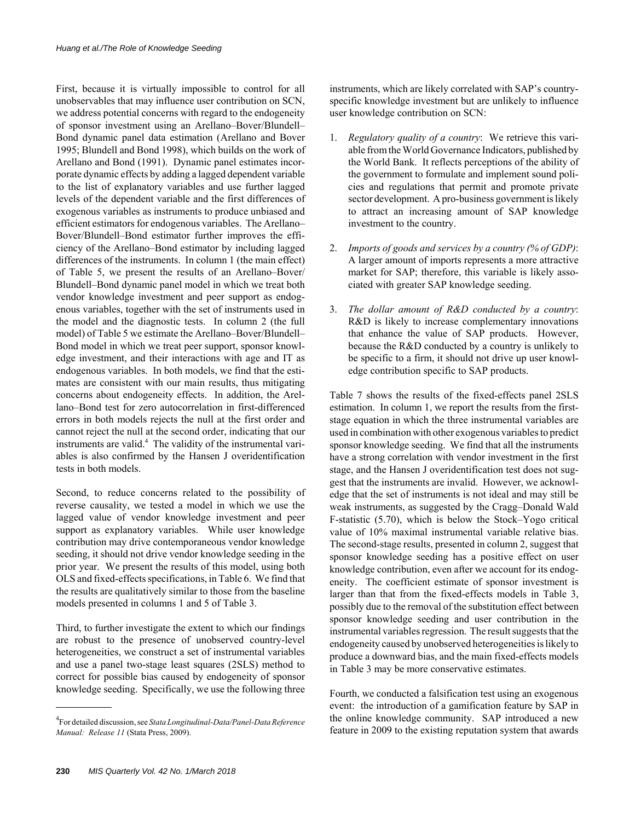First, because it is virtually impossible to control for all unobservables that may influence user contribution on SCN, we address potential concerns with regard to the endogeneity of sponsor investment using an Arellano–Bover/Blundell– Bond dynamic panel data estimation (Arellano and Bover 1995; Blundell and Bond 1998), which builds on the work of Arellano and Bond (1991). Dynamic panel estimates incorporate dynamic effects by adding a lagged dependent variable to the list of explanatory variables and use further lagged levels of the dependent variable and the first differences of exogenous variables as instruments to produce unbiased and efficient estimators for endogenous variables. The Arellano– Bover/Blundell–Bond estimator further improves the efficiency of the Arellano–Bond estimator by including lagged differences of the instruments. In column 1 (the main effect) of Table 5, we present the results of an Arellano–Bover/ Blundell–Bond dynamic panel model in which we treat both vendor knowledge investment and peer support as endogenous variables, together with the set of instruments used in the model and the diagnostic tests. In column 2 (the full model) of Table 5 we estimate the Arellano–Bover/Blundell– Bond model in which we treat peer support, sponsor knowledge investment, and their interactions with age and IT as endogenous variables. In both models, we find that the estimates are consistent with our main results, thus mitigating concerns about endogeneity effects. In addition, the Arellano–Bond test for zero autocorrelation in first-differenced errors in both models rejects the null at the first order and cannot reject the null at the second order, indicating that our instruments are valid.<sup>4</sup> The validity of the instrumental variables is also confirmed by the Hansen J overidentification tests in both models.

Second, to reduce concerns related to the possibility of reverse causality, we tested a model in which we use the lagged value of vendor knowledge investment and peer support as explanatory variables. While user knowledge contribution may drive contemporaneous vendor knowledge seeding, it should not drive vendor knowledge seeding in the prior year. We present the results of this model, using both OLS and fixed-effects specifications, in Table 6. We find that the results are qualitatively similar to those from the baseline models presented in columns 1 and 5 of Table 3.

Third, to further investigate the extent to which our findings are robust to the presence of unobserved country-level heterogeneities, we construct a set of instrumental variables and use a panel two-stage least squares (2SLS) method to correct for possible bias caused by endogeneity of sponsor knowledge seeding. Specifically, we use the following three

instruments, which are likely correlated with SAP's countryspecific knowledge investment but are unlikely to influence user knowledge contribution on SCN:

- 1. *Regulatory quality of a country*: We retrieve this variable from the World Governance Indicators, published by the World Bank. It reflects perceptions of the ability of the government to formulate and implement sound policies and regulations that permit and promote private sector development. A pro-business government is likely to attract an increasing amount of SAP knowledge investment to the country.
- 2. *Imports of goods and services by a country (% of GDP)*: A larger amount of imports represents a more attractive market for SAP; therefore, this variable is likely associated with greater SAP knowledge seeding.
- 3. *The dollar amount of R&D conducted by a country*: R&D is likely to increase complementary innovations that enhance the value of SAP products. However, because the R&D conducted by a country is unlikely to be specific to a firm, it should not drive up user knowledge contribution specific to SAP products.

Table 7 shows the results of the fixed-effects panel 2SLS estimation. In column 1, we report the results from the firststage equation in which the three instrumental variables are used in combination with other exogenous variables to predict sponsor knowledge seeding. We find that all the instruments have a strong correlation with vendor investment in the first stage, and the Hansen J overidentification test does not suggest that the instruments are invalid. However, we acknowledge that the set of instruments is not ideal and may still be weak instruments, as suggested by the Cragg–Donald Wald F-statistic (5.70), which is below the Stock–Yogo critical value of 10% maximal instrumental variable relative bias. The second-stage results, presented in column 2, suggest that sponsor knowledge seeding has a positive effect on user knowledge contribution, even after we account for its endogeneity. The coefficient estimate of sponsor investment is larger than that from the fixed-effects models in Table 3, possibly due to the removal of the substitution effect between sponsor knowledge seeding and user contribution in the instrumental variables regression. The result suggests that the endogeneity caused by unobserved heterogeneities is likely to produce a downward bias, and the main fixed-effects models in Table 3 may be more conservative estimates.

Fourth, we conducted a falsification test using an exogenous event: the introduction of a gamification feature by SAP in the online knowledge community. SAP introduced a new feature in 2009 to the existing reputation system that awards

<sup>4</sup> For detailed discussion, see *Stata Longitudinal-Data/Panel-Data Reference Manual: Release 11* (Stata Press, 2009).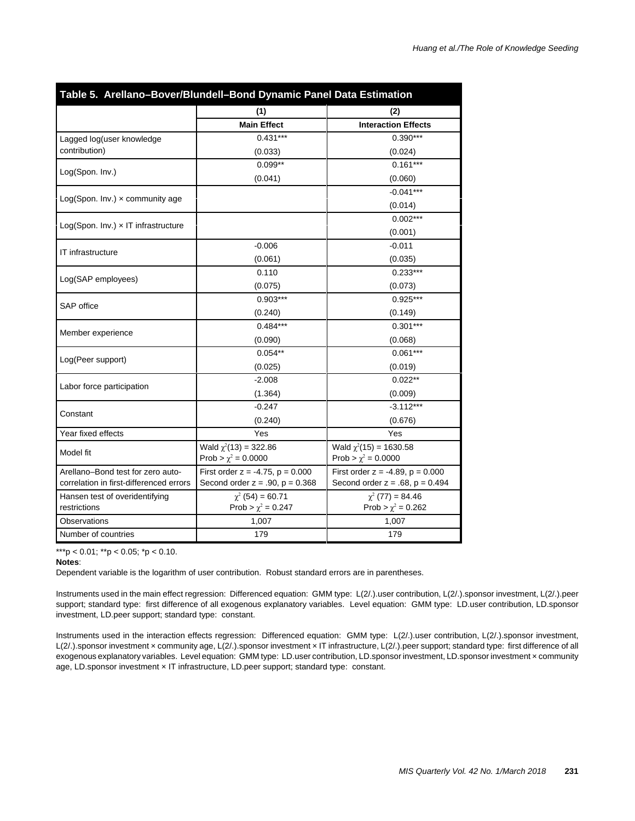|                                            | (1)                                   | (2)                                   |
|--------------------------------------------|---------------------------------------|---------------------------------------|
|                                            | <b>Main Effect</b>                    | <b>Interaction Effects</b>            |
| Lagged log(user knowledge                  | $0.431***$                            | $0.390***$                            |
| contribution)                              | (0.033)                               | (0.024)                               |
|                                            | $0.099**$                             | $0.161***$                            |
| Log(Spon. Inv.)                            | (0.041)                               | (0.060)                               |
|                                            |                                       | $-0.041***$                           |
| $Log(Spon. Inv.) \times community age$     |                                       | (0.014)                               |
|                                            |                                       | $0.002***$                            |
| $Log(Spon. Inv.) \times IT infrastructure$ |                                       | (0.001)                               |
|                                            | $-0.006$                              | $-0.011$                              |
| IT infrastructure                          | (0.061)                               | (0.035)                               |
|                                            | 0.110                                 | $0.233***$                            |
| Log(SAP employees)                         | (0.075)                               | (0.073)                               |
|                                            | $0.903***$                            | $0.925***$                            |
| <b>SAP</b> office                          | (0.240)                               | (0.149)                               |
|                                            | $0.484***$                            | $0.301***$                            |
| Member experience                          | (0.090)                               | (0.068)                               |
|                                            | $0.054**$                             | $0.061***$                            |
| Log(Peer support)                          | (0.025)                               | (0.019)                               |
|                                            | $-2.008$                              | $0.022**$                             |
| Labor force participation                  | (1.364)                               | (0.009)                               |
|                                            | $-0.247$                              | $-3.112***$                           |
| Constant                                   | (0.240)                               | (0.676)                               |
| Year fixed effects                         | Yes                                   | Yes                                   |
| Model fit                                  | Wald $\chi^2(13) = 322.86$            | Wald $\chi^2(15) = 1630.58$           |
|                                            | Prob > $\chi^2$ = 0.0000              | Prob > $\chi^2$ = 0.0000              |
| Arellano-Bond test for zero auto-          | First order $z = -4.75$ , $p = 0.000$ | First order $z = -4.89$ , $p = 0.000$ |
| correlation in first-differenced errors    | Second order $z = .90$ , $p = 0.368$  | Second order $z = .68$ , $p = 0.494$  |
| Hansen test of overidentifying             | $\chi^2$ (54) = 60.71                 | $\chi^2$ (77) = 84.46                 |
| restrictions                               | Prob > $\chi^2$ = 0.247               | Prob > $\chi^2$ = 0.262               |
| Observations                               | 1,007                                 | 1,007                                 |
| Number of countries                        | 179                                   | 179                                   |

#### **Notes**:

Dependent variable is the logarithm of user contribution. Robust standard errors are in parentheses.

Instruments used in the main effect regression: Differenced equation: GMM type: L(2/.).user contribution, L(2/.).sponsor investment, L(2/.).peer support; standard type: first difference of all exogenous explanatory variables. Level equation: GMM type: LD.user contribution, LD.sponsor investment, LD.peer support; standard type: constant.

Instruments used in the interaction effects regression: Differenced equation: GMM type: L(2/.).user contribution, L(2/.).sponsor investment, L(2/.).sponsor investment x community age, L(2/.).sponsor investment x IT infrastructure, L(2/.).peer support; standard type: first difference of all exogenous explanatory variables. Level equation: GMM type: LD.user contribution, LD.sponsor investment, LD.sponsor investment x community age, LD.sponsor investment × IT infrastructure, LD.peer support; standard type: constant.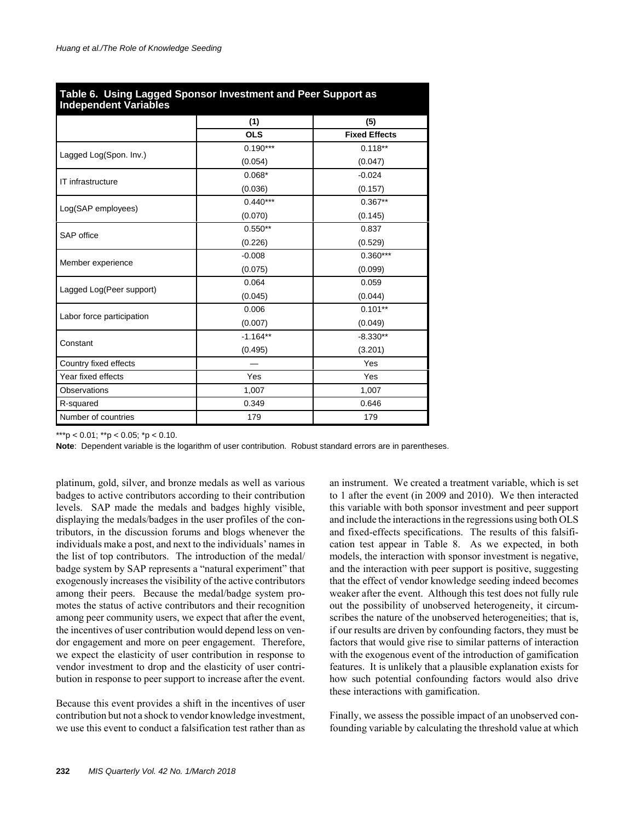| Table 6. Using Lagged Sponsor Investment and Peer Support as<br><b>Independent Variables</b> |            |                      |  |  |  |  |
|----------------------------------------------------------------------------------------------|------------|----------------------|--|--|--|--|
|                                                                                              | (1)        | (5)                  |  |  |  |  |
|                                                                                              | <b>OLS</b> | <b>Fixed Effects</b> |  |  |  |  |
|                                                                                              | $0.190***$ | $0.118**$            |  |  |  |  |
| Lagged Log(Spon. Inv.)                                                                       | (0.054)    | (0.047)              |  |  |  |  |
| IT infrastructure                                                                            | $0.068*$   | $-0.024$             |  |  |  |  |
|                                                                                              | (0.036)    | (0.157)              |  |  |  |  |
|                                                                                              | $0.440***$ | $0.367**$            |  |  |  |  |
| Log(SAP employees)                                                                           | (0.070)    | (0.145)              |  |  |  |  |
| SAP office                                                                                   | $0.550**$  | 0.837                |  |  |  |  |
|                                                                                              | (0.226)    | (0.529)              |  |  |  |  |
|                                                                                              | $-0.008$   | $0.360***$           |  |  |  |  |
| Member experience                                                                            | (0.075)    | (0.099)              |  |  |  |  |
|                                                                                              | 0.064      | 0.059                |  |  |  |  |
| Lagged Log(Peer support)                                                                     | (0.045)    | (0.044)              |  |  |  |  |
|                                                                                              | 0.006      | $0.101**$            |  |  |  |  |
| Labor force participation                                                                    | (0.007)    | (0.049)              |  |  |  |  |
|                                                                                              | $-1.164**$ | $-8.330**$           |  |  |  |  |
| Constant                                                                                     | (0.495)    | (3.201)              |  |  |  |  |
| Country fixed effects                                                                        |            | Yes                  |  |  |  |  |
| Year fixed effects                                                                           | Yes        | Yes                  |  |  |  |  |
| <b>Observations</b>                                                                          | 1,007      | 1,007                |  |  |  |  |
| R-squared                                                                                    | 0.349      | 0.646                |  |  |  |  |
| Number of countries                                                                          | 179        | 179                  |  |  |  |  |

**Note**: Dependent variable is the logarithm of user contribution. Robust standard errors are in parentheses.

platinum, gold, silver, and bronze medals as well as various badges to active contributors according to their contribution levels. SAP made the medals and badges highly visible, displaying the medals/badges in the user profiles of the contributors, in the discussion forums and blogs whenever the individuals make a post, and next to the individuals' names in the list of top contributors. The introduction of the medal/ badge system by SAP represents a "natural experiment" that exogenously increases the visibility of the active contributors among their peers. Because the medal/badge system promotes the status of active contributors and their recognition among peer community users, we expect that after the event, the incentives of user contribution would depend less on vendor engagement and more on peer engagement. Therefore, we expect the elasticity of user contribution in response to vendor investment to drop and the elasticity of user contribution in response to peer support to increase after the event.

Because this event provides a shift in the incentives of user contribution but not a shock to vendor knowledge investment, we use this event to conduct a falsification test rather than as

an instrument. We created a treatment variable, which is set to 1 after the event (in 2009 and 2010). We then interacted this variable with both sponsor investment and peer support and include the interactions in the regressions using both OLS and fixed-effects specifications. The results of this falsification test appear in Table 8. As we expected, in both models, the interaction with sponsor investment is negative, and the interaction with peer support is positive, suggesting that the effect of vendor knowledge seeding indeed becomes weaker after the event. Although this test does not fully rule out the possibility of unobserved heterogeneity, it circumscribes the nature of the unobserved heterogeneities; that is, if our results are driven by confounding factors, they must be factors that would give rise to similar patterns of interaction with the exogenous event of the introduction of gamification features. It is unlikely that a plausible explanation exists for how such potential confounding factors would also drive these interactions with gamification.

Finally, we assess the possible impact of an unobserved confounding variable by calculating the threshold value at which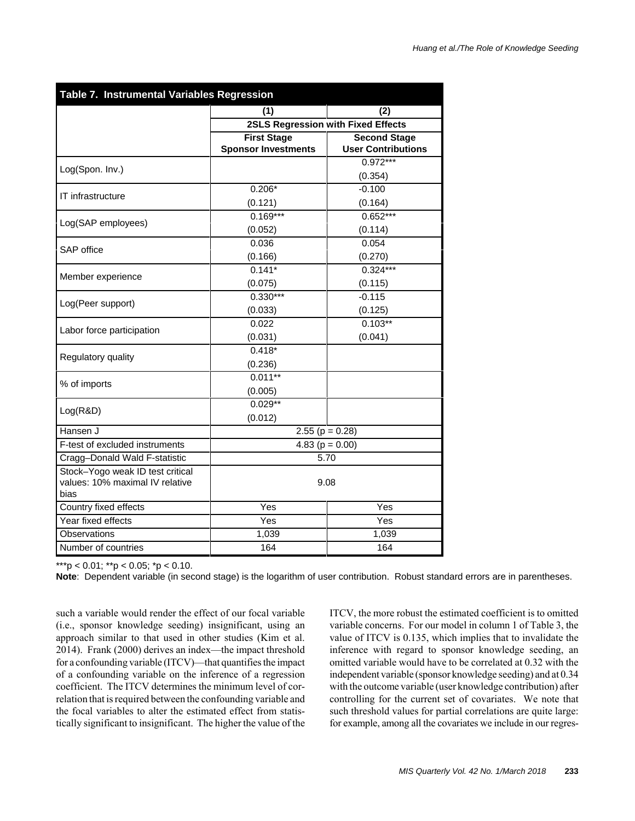| Table 7. Instrumental Variables Regression |                                           |                           |  |  |  |  |
|--------------------------------------------|-------------------------------------------|---------------------------|--|--|--|--|
|                                            | (1)                                       | (2)                       |  |  |  |  |
|                                            | <b>2SLS Regression with Fixed Effects</b> |                           |  |  |  |  |
|                                            | <b>First Stage</b>                        | <b>Second Stage</b>       |  |  |  |  |
|                                            | <b>Sponsor Investments</b>                | <b>User Contributions</b> |  |  |  |  |
| Log(Spon. Inv.)                            |                                           | $0.972***$                |  |  |  |  |
|                                            |                                           | (0.354)                   |  |  |  |  |
| IT infrastructure                          | $0.206*$                                  | $-0.100$                  |  |  |  |  |
|                                            | (0.121)                                   | (0.164)                   |  |  |  |  |
| Log(SAP employees)                         | $0.169***$                                | $0.652***$                |  |  |  |  |
|                                            | (0.052)                                   | (0.114)                   |  |  |  |  |
| SAP office                                 | 0.036                                     | 0.054                     |  |  |  |  |
|                                            | (0.166)                                   | (0.270)                   |  |  |  |  |
| Member experience                          | $0.141*$                                  | $0.324***$                |  |  |  |  |
|                                            | (0.075)                                   | (0.115)                   |  |  |  |  |
| Log(Peer support)                          | $0.330***$                                | $-0.115$                  |  |  |  |  |
|                                            | (0.033)                                   | (0.125)                   |  |  |  |  |
| Labor force participation                  | 0.022                                     | $0.103**$                 |  |  |  |  |
|                                            | (0.031)                                   | (0.041)                   |  |  |  |  |
| Regulatory quality                         | $0.418*$                                  |                           |  |  |  |  |
|                                            | (0.236)                                   |                           |  |  |  |  |
| % of imports                               | $0.011**$                                 |                           |  |  |  |  |
|                                            | (0.005)                                   |                           |  |  |  |  |
|                                            | $0.029**$                                 |                           |  |  |  |  |
| Log(R&D)                                   | (0.012)                                   |                           |  |  |  |  |
| Hansen J                                   | 2.55 ( $p = 0.28$ )                       |                           |  |  |  |  |
| F-test of excluded instruments             | 4.83 ( $p = 0.00$ )                       |                           |  |  |  |  |
| Cragg-Donald Wald F-statistic              | 5.70                                      |                           |  |  |  |  |
| Stock-Yogo weak ID test critical           | 9.08                                      |                           |  |  |  |  |
| values: 10% maximal IV relative            |                                           |                           |  |  |  |  |
| bias                                       |                                           |                           |  |  |  |  |
| Country fixed effects                      | Yes                                       | Yes                       |  |  |  |  |
| Year fixed effects                         | Yes                                       | Yes                       |  |  |  |  |
| Observations                               | 1,039                                     | 1,039                     |  |  |  |  |
| Number of countries                        | 164                                       | 164                       |  |  |  |  |

**Note**: Dependent variable (in second stage) is the logarithm of user contribution. Robust standard errors are in parentheses.

such a variable would render the effect of our focal variable (i.e., sponsor knowledge seeding) insignificant, using an approach similar to that used in other studies (Kim et al. 2014). Frank (2000) derives an index—the impact threshold for a confounding variable (ITCV)—that quantifies the impact of a confounding variable on the inference of a regression coefficient. The ITCV determines the minimum level of correlation that is required between the confounding variable and the focal variables to alter the estimated effect from statistically significant to insignificant. The higher the value of the ITCV, the more robust the estimated coefficient is to omitted variable concerns. For our model in column 1 of Table 3, the value of ITCV is 0.135, which implies that to invalidate the inference with regard to sponsor knowledge seeding, an omitted variable would have to be correlated at 0.32 with the independent variable (sponsor knowledge seeding) and at 0.34 with the outcome variable (user knowledge contribution) after controlling for the current set of covariates. We note that such threshold values for partial correlations are quite large: for example, among all the covariates we include in our regres-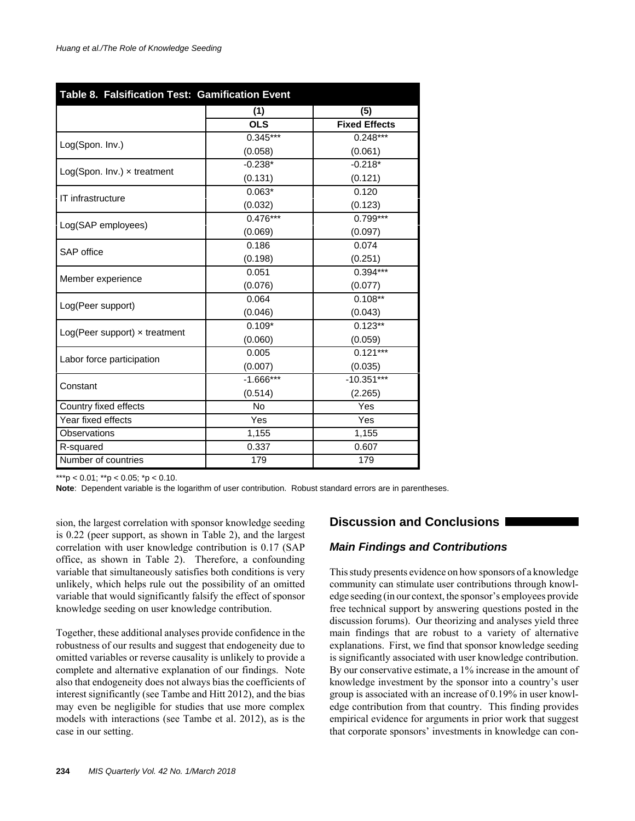| Table 8. Falsification Test: Gamification Event |             |                       |  |  |  |  |
|-------------------------------------------------|-------------|-----------------------|--|--|--|--|
|                                                 | (1)         | (5)                   |  |  |  |  |
|                                                 | <b>OLS</b>  | <b>Fixed Effects</b>  |  |  |  |  |
|                                                 | $0.345***$  | $0.248***$            |  |  |  |  |
| Log(Spon. Inv.)                                 | (0.058)     | (0.061)               |  |  |  |  |
|                                                 | $-0.238*$   | $-0.218*$             |  |  |  |  |
| $Log(Spon. Inv.) \times treatment$              | (0.131)     | (0.121)               |  |  |  |  |
|                                                 | $0.063*$    | 0.120                 |  |  |  |  |
| IT infrastructure                               | (0.032)     | (0.123)               |  |  |  |  |
|                                                 | $0.476***$  | $0.799***$            |  |  |  |  |
| Log(SAP employees)                              | (0.069)     | (0.097)               |  |  |  |  |
| SAP office                                      | 0.186       | 0.074                 |  |  |  |  |
|                                                 | (0.198)     | (0.251)               |  |  |  |  |
|                                                 | 0.051       | $0.394***$            |  |  |  |  |
| Member experience                               | (0.076)     | (0.077)               |  |  |  |  |
|                                                 | 0.064       | $0.108**$             |  |  |  |  |
| Log(Peer support)                               | (0.046)     | (0.043)               |  |  |  |  |
| $Log(Peer support) \times treatment$            | $0.109*$    | $0.123**$             |  |  |  |  |
|                                                 | (0.060)     | (0.059)               |  |  |  |  |
| Labor force participation                       | 0.005       | $\overline{0.121***}$ |  |  |  |  |
|                                                 | (0.007)     | (0.035)               |  |  |  |  |
| Constant                                        | $-1.666***$ | $-10.351***$          |  |  |  |  |
|                                                 | (0.514)     | (2.265)               |  |  |  |  |
| Country fixed effects                           | No          | Yes                   |  |  |  |  |
| Year fixed effects                              | Yes         | Yes                   |  |  |  |  |
| Observations                                    | 1,155       | 1,155                 |  |  |  |  |
| R-squared                                       | 0.337       | 0.607                 |  |  |  |  |
| Number of countries                             | 179         | 179                   |  |  |  |  |

**Note**: Dependent variable is the logarithm of user contribution. Robust standard errors are in parentheses.

sion, the largest correlation with sponsor knowledge seeding is 0.22 (peer support, as shown in Table 2), and the largest correlation with user knowledge contribution is 0.17 (SAP office, as shown in Table 2). Therefore, a confounding variable that simultaneously satisfies both conditions is very unlikely, which helps rule out the possibility of an omitted variable that would significantly falsify the effect of sponsor knowledge seeding on user knowledge contribution.

Together, these additional analyses provide confidence in the robustness of our results and suggest that endogeneity due to omitted variables or reverse causality is unlikely to provide a complete and alternative explanation of our findings. Note also that endogeneity does not always bias the coefficients of interest significantly (see Tambe and Hitt 2012), and the bias may even be negligible for studies that use more complex models with interactions (see Tambe et al. 2012), as is the case in our setting.

# **Discussion and Conclusions**

# *Main Findings and Contributions*

This study presents evidence on how sponsors of a knowledge community can stimulate user contributions through knowledge seeding (in our context, the sponsor's employees provide free technical support by answering questions posted in the discussion forums). Our theorizing and analyses yield three main findings that are robust to a variety of alternative explanations. First, we find that sponsor knowledge seeding is significantly associated with user knowledge contribution. By our conservative estimate, a 1% increase in the amount of knowledge investment by the sponsor into a country's user group is associated with an increase of 0.19% in user knowledge contribution from that country. This finding provides empirical evidence for arguments in prior work that suggest that corporate sponsors' investments in knowledge can con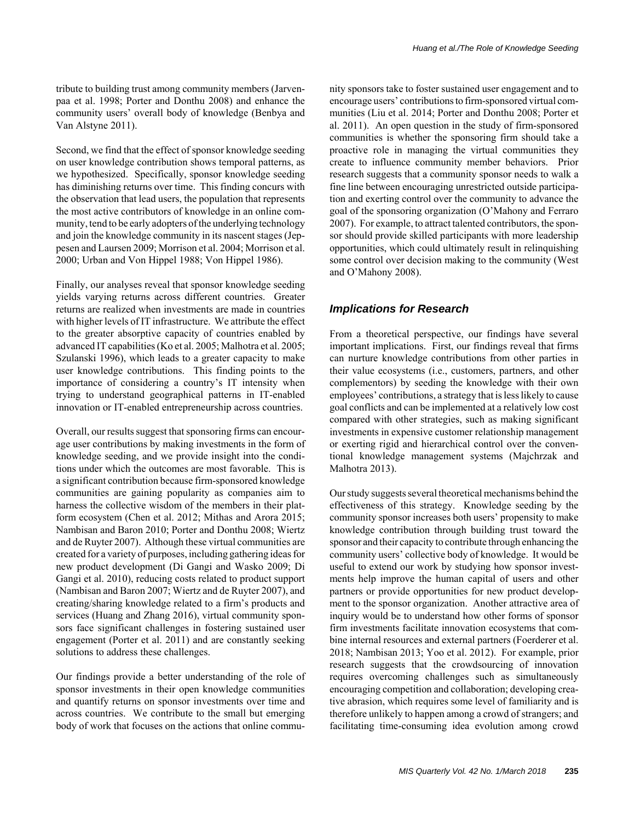Second, we find that the effect of sponsor knowledge seeding on user knowledge contribution shows temporal patterns, as we hypothesized. Specifically, sponsor knowledge seeding has diminishing returns over time. This finding concurs with the observation that lead users, the population that represents the most active contributors of knowledge in an online community, tend to be early adopters of the underlying technology and join the knowledge community in its nascent stages (Jeppesen and Laursen 2009; Morrison et al. 2004; Morrison et al. 2000; Urban and Von Hippel 1988; Von Hippel 1986).

Finally, our analyses reveal that sponsor knowledge seeding yields varying returns across different countries. Greater returns are realized when investments are made in countries with higher levels of IT infrastructure. We attribute the effect to the greater absorptive capacity of countries enabled by advanced IT capabilities (Ko et al. 2005; Malhotra et al. 2005; Szulanski 1996), which leads to a greater capacity to make user knowledge contributions. This finding points to the importance of considering a country's IT intensity when trying to understand geographical patterns in IT-enabled innovation or IT-enabled entrepreneurship across countries.

Overall, our results suggest that sponsoring firms can encourage user contributions by making investments in the form of knowledge seeding, and we provide insight into the conditions under which the outcomes are most favorable. This is a significant contribution because firm-sponsored knowledge communities are gaining popularity as companies aim to harness the collective wisdom of the members in their platform ecosystem (Chen et al. 2012; Mithas and Arora 2015; Nambisan and Baron 2010; Porter and Donthu 2008; Wiertz and de Ruyter 2007). Although these virtual communities are created for a variety of purposes, including gathering ideas for new product development (Di Gangi and Wasko 2009; Di Gangi et al. 2010), reducing costs related to product support (Nambisan and Baron 2007; Wiertz and de Ruyter 2007), and creating/sharing knowledge related to a firm's products and services (Huang and Zhang 2016), virtual community sponsors face significant challenges in fostering sustained user engagement (Porter et al. 2011) and are constantly seeking solutions to address these challenges.

Our findings provide a better understanding of the role of sponsor investments in their open knowledge communities and quantify returns on sponsor investments over time and across countries. We contribute to the small but emerging body of work that focuses on the actions that online community sponsors take to foster sustained user engagement and to encourage users' contributions to firm-sponsored virtual communities (Liu et al. 2014; Porter and Donthu 2008; Porter et al. 2011). An open question in the study of firm-sponsored communities is whether the sponsoring firm should take a proactive role in managing the virtual communities they create to influence community member behaviors. Prior research suggests that a community sponsor needs to walk a fine line between encouraging unrestricted outside participation and exerting control over the community to advance the goal of the sponsoring organization (O'Mahony and Ferraro 2007). For example, to attract talented contributors, the sponsor should provide skilled participants with more leadership opportunities, which could ultimately result in relinquishing some control over decision making to the community (West and O'Mahony 2008).

# *Implications for Research*

From a theoretical perspective, our findings have several important implications. First, our findings reveal that firms can nurture knowledge contributions from other parties in their value ecosystems (i.e., customers, partners, and other complementors) by seeding the knowledge with their own employees' contributions, a strategy that is less likely to cause goal conflicts and can be implemented at a relatively low cost compared with other strategies, such as making significant investments in expensive customer relationship management or exerting rigid and hierarchical control over the conventional knowledge management systems (Majchrzak and Malhotra 2013).

Our study suggests several theoretical mechanisms behind the effectiveness of this strategy. Knowledge seeding by the community sponsor increases both users' propensity to make knowledge contribution through building trust toward the sponsor and their capacity to contribute through enhancing the community users' collective body of knowledge. It would be useful to extend our work by studying how sponsor investments help improve the human capital of users and other partners or provide opportunities for new product development to the sponsor organization. Another attractive area of inquiry would be to understand how other forms of sponsor firm investments facilitate innovation ecosystems that combine internal resources and external partners (Foerderer et al. 2018; Nambisan 2013; Yoo et al. 2012). For example, prior research suggests that the crowdsourcing of innovation requires overcoming challenges such as simultaneously encouraging competition and collaboration; developing creative abrasion, which requires some level of familiarity and is therefore unlikely to happen among a crowd of strangers; and facilitating time-consuming idea evolution among crowd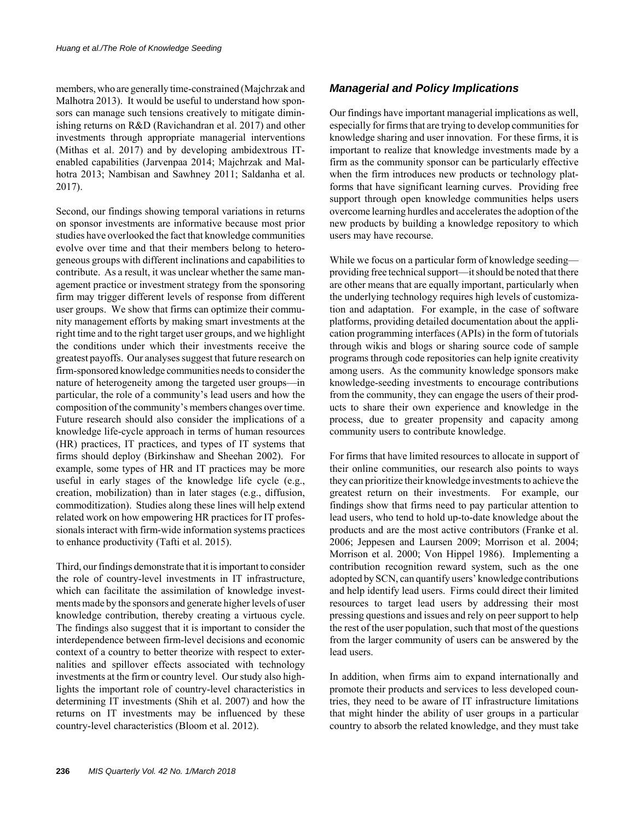members, who are generally time-constrained (Majchrzak and Malhotra 2013). It would be useful to understand how sponsors can manage such tensions creatively to mitigate diminishing returns on R&D (Ravichandran et al. 2017) and other investments through appropriate managerial interventions (Mithas et al. 2017) and by developing ambidextrous ITenabled capabilities (Jarvenpaa 2014; Majchrzak and Malhotra 2013; Nambisan and Sawhney 2011; Saldanha et al. 2017).

Second, our findings showing temporal variations in returns on sponsor investments are informative because most prior studies have overlooked the fact that knowledge communities evolve over time and that their members belong to heterogeneous groups with different inclinations and capabilities to contribute. As a result, it was unclear whether the same management practice or investment strategy from the sponsoring firm may trigger different levels of response from different user groups. We show that firms can optimize their community management efforts by making smart investments at the right time and to the right target user groups, and we highlight the conditions under which their investments receive the greatest payoffs. Our analyses suggest that future research on firm-sponsored knowledge communities needs to consider the nature of heterogeneity among the targeted user groups—in particular, the role of a community's lead users and how the composition of the community's members changes over time. Future research should also consider the implications of a knowledge life-cycle approach in terms of human resources (HR) practices, IT practices, and types of IT systems that firms should deploy (Birkinshaw and Sheehan 2002). For example, some types of HR and IT practices may be more useful in early stages of the knowledge life cycle (e.g., creation, mobilization) than in later stages (e.g., diffusion, commoditization). Studies along these lines will help extend related work on how empowering HR practices for IT professionals interact with firm-wide information systems practices to enhance productivity (Tafti et al. 2015).

Third, our findings demonstrate that it is important to consider the role of country-level investments in IT infrastructure, which can facilitate the assimilation of knowledge investments made by the sponsors and generate higher levels of user knowledge contribution, thereby creating a virtuous cycle. The findings also suggest that it is important to consider the interdependence between firm-level decisions and economic context of a country to better theorize with respect to externalities and spillover effects associated with technology investments at the firm or country level. Our study also highlights the important role of country-level characteristics in determining IT investments (Shih et al. 2007) and how the returns on IT investments may be influenced by these country-level characteristics (Bloom et al. 2012).

# *Managerial and Policy Implications*

Our findings have important managerial implications as well, especially for firms that are trying to develop communities for knowledge sharing and user innovation. For these firms, it is important to realize that knowledge investments made by a firm as the community sponsor can be particularly effective when the firm introduces new products or technology platforms that have significant learning curves. Providing free support through open knowledge communities helps users overcome learning hurdles and accelerates the adoption of the new products by building a knowledge repository to which users may have recourse.

While we focus on a particular form of knowledge seeding providing free technical support—it should be noted that there are other means that are equally important, particularly when the underlying technology requires high levels of customization and adaptation. For example, in the case of software platforms, providing detailed documentation about the application programming interfaces (APIs) in the form of tutorials through wikis and blogs or sharing source code of sample programs through code repositories can help ignite creativity among users. As the community knowledge sponsors make knowledge-seeding investments to encourage contributions from the community, they can engage the users of their products to share their own experience and knowledge in the process, due to greater propensity and capacity among community users to contribute knowledge.

For firms that have limited resources to allocate in support of their online communities, our research also points to ways they can prioritize their knowledge investments to achieve the greatest return on their investments. For example, our findings show that firms need to pay particular attention to lead users, who tend to hold up-to-date knowledge about the products and are the most active contributors (Franke et al. 2006; Jeppesen and Laursen 2009; Morrison et al. 2004; Morrison et al. 2000; Von Hippel 1986). Implementing a contribution recognition reward system, such as the one adopted by SCN, can quantify users' knowledge contributions and help identify lead users. Firms could direct their limited resources to target lead users by addressing their most pressing questions and issues and rely on peer support to help the rest of the user population, such that most of the questions from the larger community of users can be answered by the lead users.

In addition, when firms aim to expand internationally and promote their products and services to less developed countries, they need to be aware of IT infrastructure limitations that might hinder the ability of user groups in a particular country to absorb the related knowledge, and they must take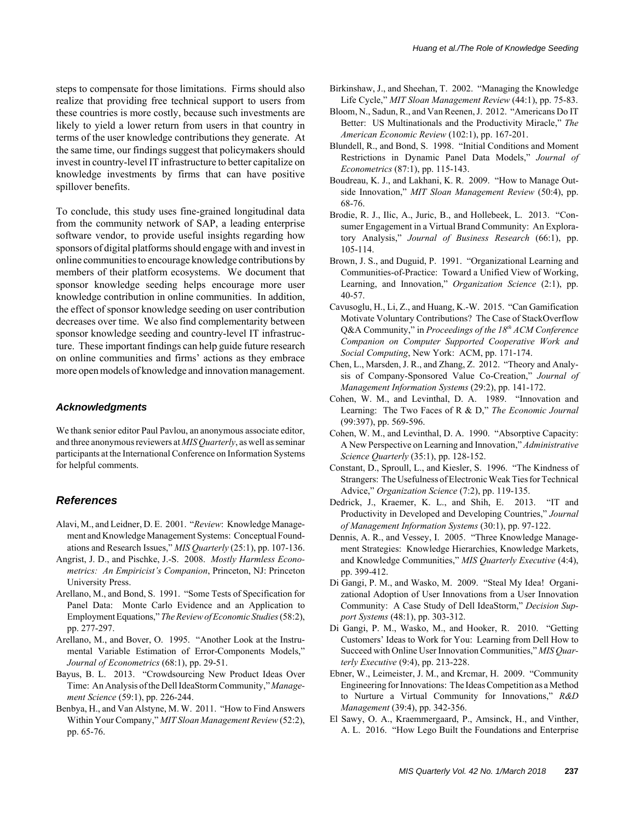steps to compensate for those limitations. Firms should also realize that providing free technical support to users from these countries is more costly, because such investments are likely to yield a lower return from users in that country in terms of the user knowledge contributions they generate. At the same time, our findings suggest that policymakers should invest in country-level IT infrastructure to better capitalize on knowledge investments by firms that can have positive spillover benefits.

To conclude, this study uses fine-grained longitudinal data from the community network of SAP, a leading enterprise software vendor, to provide useful insights regarding how sponsors of digital platforms should engage with and invest in online communities to encourage knowledge contributions by members of their platform ecosystems. We document that sponsor knowledge seeding helps encourage more user knowledge contribution in online communities. In addition, the effect of sponsor knowledge seeding on user contribution decreases over time. We also find complementarity between sponsor knowledge seeding and country-level IT infrastructure. These important findings can help guide future research on online communities and firms' actions as they embrace more open models of knowledge and innovation management.

#### *Acknowledgments*

We thank senior editor Paul Pavlou, an anonymous associate editor, and three anonymous reviewers at *MIS Quarterly*, as well as seminar participants at the International Conference on Information Systems for helpful comments.

#### *References*

- Alavi, M., and Leidner, D. E. 2001. "*Review*: Knowledge Management and Knowledge Management Systems: Conceptual Foundations and Research Issues," *MIS Quarterly* (25:1), pp. 107-136.
- Angrist, J. D., and Pischke, J.-S. 2008. *Mostly Harmless Econometrics: An Empiricist's Companion*, Princeton, NJ: Princeton University Press.
- Arellano, M., and Bond, S. 1991. "Some Tests of Specification for Panel Data: Monte Carlo Evidence and an Application to Employment Equations," *The Review of Economic Studies* (58:2), pp. 277-297.
- Arellano, M., and Bover, O. 1995. "Another Look at the Instrumental Variable Estimation of Error-Components Models," *Journal of Econometrics* (68:1), pp. 29-51.
- Bayus, B. L. 2013. "Crowdsourcing New Product Ideas Over Time: An Analysis of the Dell IdeaStorm Community," *Management Science* (59:1), pp. 226-244.
- Benbya, H., and Van Alstyne, M. W. 2011. "How to Find Answers Within Your Company," *MIT Sloan Management Review* (52:2), pp. 65-76.
- Birkinshaw, J., and Sheehan, T. 2002. "Managing the Knowledge Life Cycle," *MIT Sloan Management Review* (44:1), pp. 75-83.
- Bloom, N., Sadun, R., and Van Reenen, J. 2012. "Americans Do IT Better: US Multinationals and the Productivity Miracle," *The American Economic Review* (102:1), pp. 167-201.
- Blundell, R., and Bond, S. 1998. "Initial Conditions and Moment Restrictions in Dynamic Panel Data Models," *Journal of Econometrics* (87:1), pp. 115-143.
- Boudreau, K. J., and Lakhani, K. R. 2009. "How to Manage Outside Innovation," *MIT Sloan Management Review* (50:4), pp. 68-76.
- Brodie, R. J., Ilic, A., Juric, B., and Hollebeek, L. 2013. "Consumer Engagement in a Virtual Brand Community: An Exploratory Analysis," *Journal of Business Research* (66:1), pp. 105-114.
- Brown, J. S., and Duguid, P. 1991. "Organizational Learning and Communities-of-Practice: Toward a Unified View of Working, Learning, and Innovation," *Organization Science* (2:1), pp. 40-57.
- Cavusoglu, H., Li, Z., and Huang, K.-W. 2015. "Can Gamification Motivate Voluntary Contributions? The Case of StackOverflow Q&A Community," in *Proceedings of the 18th ACM Conference Companion on Computer Supported Cooperative Work and Social Computing*, New York: ACM, pp. 171-174.
- Chen, L., Marsden, J. R., and Zhang, Z. 2012. "Theory and Analysis of Company-Sponsored Value Co-Creation," *Journal of Management Information Systems* (29:2), pp. 141-172.
- Cohen, W. M., and Levinthal, D. A. 1989. "Innovation and Learning: The Two Faces of R & D," *The Economic Journal* (99:397), pp. 569-596.
- Cohen, W. M., and Levinthal, D. A. 1990. "Absorptive Capacity: A New Perspective on Learning and Innovation," *Administrative Science Quarterly* (35:1), pp. 128-152.
- Constant, D., Sproull, L., and Kiesler, S. 1996. "The Kindness of Strangers: The Usefulness of Electronic Weak Ties for Technical Advice," *Organization Science* (7:2), pp. 119-135.
- Dedrick, J., Kraemer, K. L., and Shih, E. 2013. "IT and Productivity in Developed and Developing Countries," *Journal of Management Information Systems* (30:1), pp. 97-122.
- Dennis, A. R., and Vessey, I. 2005. "Three Knowledge Management Strategies: Knowledge Hierarchies, Knowledge Markets, and Knowledge Communities," *MIS Quarterly Executive* (4:4), pp. 399-412.
- Di Gangi, P. M., and Wasko, M. 2009. "Steal My Idea! Organizational Adoption of User Innovations from a User Innovation Community: A Case Study of Dell IdeaStorm," *Decision Support Systems* (48:1), pp. 303-312.
- Di Gangi, P. M., Wasko, M., and Hooker, R. 2010. "Getting Customers' Ideas to Work for You: Learning from Dell How to Succeed with Online User Innovation Communities," *MIS Quarterly Executive* (9:4), pp. 213-228.
- Ebner, W., Leimeister, J. M., and Krcmar, H. 2009. "Community Engineering for Innovations: The Ideas Competition as a Method to Nurture a Virtual Community for Innovations," *R&D Management* (39:4), pp. 342-356.
- El Sawy, O. A., Kraemmergaard, P., Amsinck, H., and Vinther, A. L. 2016. "How Lego Built the Foundations and Enterprise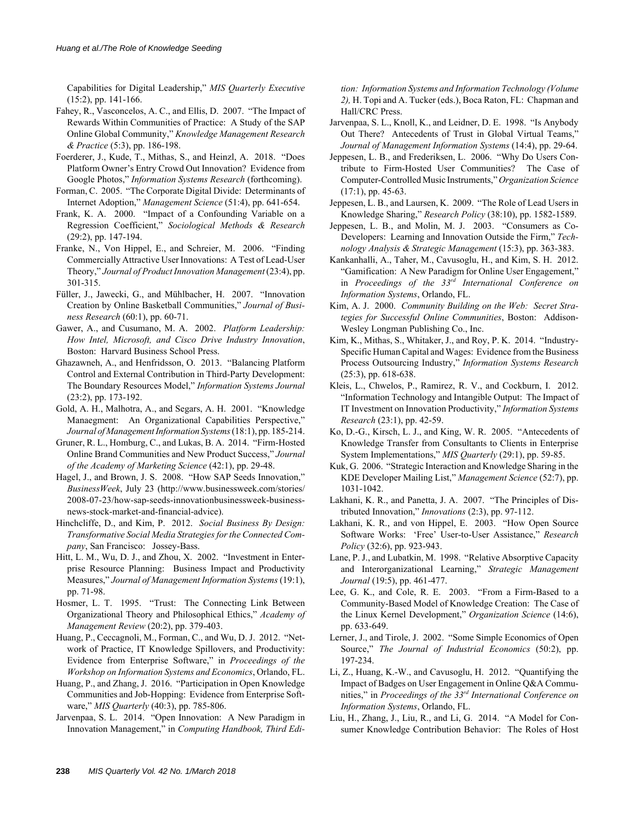Capabilities for Digital Leadership," *MIS Quarterly Executive* (15:2), pp. 141-166.

- Fahey, R., Vasconcelos, A. C., and Ellis, D. 2007. "The Impact of Rewards Within Communities of Practice: A Study of the SAP Online Global Community," *Knowledge Management Research & Practice* (5:3), pp. 186-198.
- Foerderer, J., Kude, T., Mithas, S., and Heinzl, A. 2018. "Does Platform Owner's Entry Crowd Out Innovation? Evidence from Google Photos," *Information Systems Research* (forthcoming).
- Forman, C. 2005. "The Corporate Digital Divide: Determinants of Internet Adoption," *Management Science* (51:4), pp. 641-654.
- Frank, K. A. 2000. "Impact of a Confounding Variable on a Regression Coefficient," *Sociological Methods & Research* (29:2), pp. 147-194.
- Franke, N., Von Hippel, E., and Schreier, M. 2006. "Finding Commercially Attractive User Innovations: A Test of Lead-User Theory," *Journal of Product Innovation Management* (23:4), pp. 301-315.
- Füller, J., Jawecki, G., and Mühlbacher, H. 2007. "Innovation Creation by Online Basketball Communities," *Journal of Business Research* (60:1), pp. 60-71.
- Gawer, A., and Cusumano, M. A. 2002. *Platform Leadership: How Intel, Microsoft, and Cisco Drive Industry Innovation*, Boston: Harvard Business School Press.
- Ghazawneh, A., and Henfridsson, O. 2013. "Balancing Platform Control and External Contribution in Third-Party Development: The Boundary Resources Model," *Information Systems Journal* (23:2), pp. 173-192.
- Gold, A. H., Malhotra, A., and Segars, A. H. 2001. "Knowledge Manaegment: An Organizational Capabilities Perspective," *Journal of Management Information Systems* (18:1), pp. 185-214.
- Gruner, R. L., Homburg, C., and Lukas, B. A. 2014. "Firm-Hosted Online Brand Communities and New Product Success," *Journal of the Academy of Marketing Science* (42:1), pp. 29-48.
- Hagel, J., and Brown, J. S. 2008. "How SAP Seeds Innovation," *BusinessWeek*, July 23 (http://www.businessweek.com/stories/ 2008-07-23/how-sap-seeds-innovationbusinessweek-businessnews-stock-market-and-financial-advice).
- Hinchcliffe, D., and Kim, P. 2012. *Social Business By Design: Transformative Social Media Strategies for the Connected Company*, San Francisco: Jossey-Bass.
- Hitt, L. M., Wu, D. J., and Zhou, X. 2002. "Investment in Enterprise Resource Planning: Business Impact and Productivity Measures," *Journal of Management Information Systems* (19:1), pp. 71-98.
- Hosmer, L. T. 1995. "Trust: The Connecting Link Between Organizational Theory and Philosophical Ethics," *Academy of Management Review* (20:2), pp. 379-403.
- Huang, P., Ceccagnoli, M., Forman, C., and Wu, D. J. 2012. "Network of Practice, IT Knowledge Spillovers, and Productivity: Evidence from Enterprise Software," in *Proceedings of the Workshop on Information Systems and Economics*, Orlando, FL.
- Huang, P., and Zhang, J. 2016. "Participation in Open Knowledge Communities and Job-Hopping: Evidence from Enterprise Software," *MIS Quarterly* (40:3), pp. 785-806.
- Jarvenpaa, S. L. 2014. "Open Innovation: A New Paradigm in Innovation Management," in *Computing Handbook, Third Edi-*

*tion: Information Systems and Information Technology (Volume 2),* H. Topi and A. Tucker (eds.), Boca Raton, FL: Chapman and Hall/CRC Press.

- Jarvenpaa, S. L., Knoll, K., and Leidner, D. E. 1998. "Is Anybody Out There? Antecedents of Trust in Global Virtual Teams," *Journal of Management Information Systems* (14:4), pp. 29-64.
- Jeppesen, L. B., and Frederiksen, L. 2006. "Why Do Users Contribute to Firm-Hosted User Communities? The Case of Computer-Controlled Music Instruments," *Organization Science*  $(17:1)$ , pp. 45-63.
- Jeppesen, L. B., and Laursen, K. 2009. "The Role of Lead Users in Knowledge Sharing," *Research Policy* (38:10), pp. 1582-1589.
- Jeppesen, L. B., and Molin, M. J. 2003. "Consumers as Co-Developers: Learning and Innovation Outside the Firm," *Technology Analysis & Strategic Management* (15:3), pp. 363-383.
- Kankanhalli, A., Taher, M., Cavusoglu, H., and Kim, S. H. 2012. "Gamification: A New Paradigm for Online User Engagement," in *Proceedings of the 33rd International Conference on Information Systems*, Orlando, FL.
- Kim, A. J. 2000. *Community Building on the Web: Secret Strategies for Successful Online Communities*, Boston: Addison-Wesley Longman Publishing Co., Inc.
- Kim, K., Mithas, S., Whitaker, J., and Roy, P. K. 2014. "Industry-Specific Human Capital and Wages: Evidence from the Business Process Outsourcing Industry," *Information Systems Research* (25:3), pp. 618-638.
- Kleis, L., Chwelos, P., Ramirez, R. V., and Cockburn, I. 2012. "Information Technology and Intangible Output: The Impact of IT Investment on Innovation Productivity," *Information Systems Research* (23:1), pp. 42-59.
- Ko, D.-G., Kirsch, L. J., and King, W. R. 2005. "Antecedents of Knowledge Transfer from Consultants to Clients in Enterprise System Implementations," *MIS Quarterly* (29:1), pp. 59-85.
- Kuk, G. 2006. "Strategic Interaction and Knowledge Sharing in the KDE Developer Mailing List," *Management Science* (52:7), pp. 1031-1042.
- Lakhani, K. R., and Panetta, J. A. 2007. "The Principles of Distributed Innovation," *Innovations* (2:3), pp. 97-112.
- Lakhani, K. R., and von Hippel, E. 2003. "How Open Source Software Works: 'Free' User-to-User Assistance," *Research Policy* (32:6), pp. 923-943.
- Lane, P. J., and Lubatkin, M. 1998. "Relative Absorptive Capacity and Interorganizational Learning," *Strategic Management Journal* (19:5), pp. 461-477.
- Lee, G. K., and Cole, R. E. 2003. "From a Firm-Based to a Community-Based Model of Knowledge Creation: The Case of the Linux Kernel Development," *Organization Science* (14:6), pp. 633-649.
- Lerner, J., and Tirole, J. 2002. "Some Simple Economics of Open Source," *The Journal of Industrial Economics* (50:2), pp. 197-234.
- Li, Z., Huang, K.-W., and Cavusoglu, H. 2012. "Quantifying the Impact of Badges on User Engagement in Online Q&A Communities," in *Proceedings of the 33rd International Conference on Information Systems*, Orlando, FL.
- Liu, H., Zhang, J., Liu, R., and Li, G. 2014. "A Model for Consumer Knowledge Contribution Behavior: The Roles of Host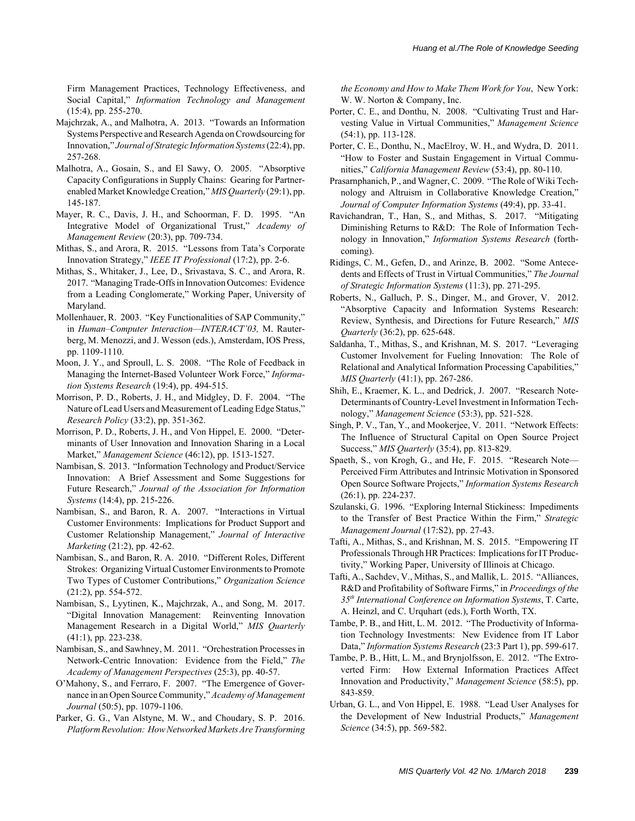Firm Management Practices, Technology Effectiveness, and Social Capital," *Information Technology and Management* (15:4), pp. 255-270.

- Majchrzak, A., and Malhotra, A. 2013. "Towards an Information Systems Perspective and Research Agenda on Crowdsourcing for Innovation," *Journal of Strategic Information Systems* (22:4), pp. 257-268.
- Malhotra, A., Gosain, S., and El Sawy, O. 2005. "Absorptive Capacity Configurations in Supply Chains: Gearing for Partnerenabled Market Knowledge Creation," *MIS Quarterly* (29:1), pp. 145-187.
- Mayer, R. C., Davis, J. H., and Schoorman, F. D. 1995. "An Integrative Model of Organizational Trust," *Academy of Management Review* (20:3), pp. 709-734.
- Mithas, S., and Arora, R. 2015. "Lessons from Tata's Corporate Innovation Strategy," *IEEE IT Professional* (17:2), pp. 2-6.
- Mithas, S., Whitaker, J., Lee, D., Srivastava, S. C., and Arora, R. 2017. "Managing Trade-Offs in Innovation Outcomes: Evidence from a Leading Conglomerate," Working Paper, University of Maryland.
- Mollenhauer, R. 2003. "Key Functionalities of SAP Community," in *Human–Computer Interaction—INTERACT'03,* M. Rauterberg, M. Menozzi, and J. Wesson (eds.), Amsterdam, IOS Press, pp. 1109-1110.
- Moon, J. Y., and Sproull, L. S. 2008. "The Role of Feedback in Managing the Internet-Based Volunteer Work Force," *Information Systems Research* (19:4), pp. 494-515.
- Morrison, P. D., Roberts, J. H., and Midgley, D. F. 2004. "The Nature of Lead Users and Measurement of Leading Edge Status," *Research Policy* (33:2), pp. 351-362.
- Morrison, P. D., Roberts, J. H., and Von Hippel, E. 2000. "Determinants of User Innovation and Innovation Sharing in a Local Market," *Management Science* (46:12), pp. 1513-1527.
- Nambisan, S. 2013. "Information Technology and Product/Service Innovation: A Brief Assessment and Some Suggestions for Future Research," *Journal of the Association for Information Systems* (14:4), pp. 215-226.
- Nambisan, S., and Baron, R. A. 2007. "Interactions in Virtual Customer Environments: Implications for Product Support and Customer Relationship Management," *Journal of Interactive Marketing* (21:2), pp. 42-62.
- Nambisan, S., and Baron, R. A. 2010. "Different Roles, Different Strokes: Organizing Virtual Customer Environments to Promote Two Types of Customer Contributions," *Organization Science* (21:2), pp. 554-572.
- Nambisan, S., Lyytinen, K., Majchrzak, A., and Song, M. 2017. "Digital Innovation Management: Reinventing Innovation Management Research in a Digital World," *MIS Quarterly* (41:1), pp. 223-238.
- Nambisan, S., and Sawhney, M. 2011. "Orchestration Processes in Network-Centric Innovation: Evidence from the Field," *The Academy of Management Perspectives* (25:3), pp. 40-57.
- O'Mahony, S., and Ferraro, F. 2007. "The Emergence of Governance in an Open Source Community," *Academy of Management Journal* (50:5), pp. 1079-1106.
- Parker, G. G., Van Alstyne, M. W., and Choudary, S. P. 2016. *Platform Revolution: How Networked Markets Are Transforming*

*the Economy and How to Make Them Work for You*, New York: W. W. Norton & Company, Inc.

- Porter, C. E., and Donthu, N. 2008. "Cultivating Trust and Harvesting Value in Virtual Communities," *Management Science* (54:1), pp. 113-128.
- Porter, C. E., Donthu, N., MacElroy, W. H., and Wydra, D. 2011. "How to Foster and Sustain Engagement in Virtual Communities," *California Management Review* (53:4), pp. 80-110.
- Prasarnphanich, P., and Wagner, C. 2009. "The Role of Wiki Technology and Altruism in Collaborative Knowledge Creation," *Journal of Computer Information Systems* (49:4), pp. 33-41.
- Ravichandran, T., Han, S., and Mithas, S. 2017. "Mitigating Diminishing Returns to R&D: The Role of Information Technology in Innovation," *Information Systems Research* (forthcoming).
- Ridings, C. M., Gefen, D., and Arinze, B. 2002. "Some Antecedents and Effects of Trust in Virtual Communities," *The Journal of Strategic Information Systems* (11:3), pp. 271-295.
- Roberts, N., Galluch, P. S., Dinger, M., and Grover, V. 2012. "Absorptive Capacity and Information Systems Research: Review, Synthesis, and Directions for Future Research," *MIS Quarterly* (36:2), pp. 625-648.
- Saldanha, T., Mithas, S., and Krishnan, M. S. 2017. "Leveraging Customer Involvement for Fueling Innovation: The Role of Relational and Analytical Information Processing Capabilities," *MIS Quarterly* (41:1), pp. 267-286.
- Shih, E., Kraemer, K. L., and Dedrick, J. 2007. "Research Note-Determinants of Country-Level Investment in Information Technology," *Management Science* (53:3), pp. 521-528.
- Singh, P. V., Tan, Y., and Mookerjee, V. 2011. "Network Effects: The Influence of Structural Capital on Open Source Project Success," *MIS Quarterly* (35:4), pp. 813-829.
- Spaeth, S., von Krogh, G., and He, F. 2015. "Research Note— Perceived Firm Attributes and Intrinsic Motivation in Sponsored Open Source Software Projects," *Information Systems Research* (26:1), pp. 224-237.
- Szulanski, G. 1996. "Exploring Internal Stickiness: Impediments to the Transfer of Best Practice Within the Firm," *Strategic Management Journal* (17:S2), pp. 27-43.
- Tafti, A., Mithas, S., and Krishnan, M. S. 2015. "Empowering IT Professionals Through HR Practices: Implications for IT Productivity," Working Paper, University of Illinois at Chicago.
- Tafti, A., Sachdev, V., Mithas, S., and Mallik, L. 2015. "Alliances, R&D and Profitability of Software Firms," in *Proceedings of the 35th International Conference on Information Systems*, T. Carte, A. Heinzl, and C. Urquhart (eds.), Forth Worth, TX.
- Tambe, P. B., and Hitt, L. M. 2012. "The Productivity of Information Technology Investments: New Evidence from IT Labor Data," *Information Systems Research* (23:3 Part 1), pp. 599-617.
- Tambe, P. B., Hitt, L. M., and Brynjolfsson, E. 2012. "The Extroverted Firm: How External Information Practices Affect Innovation and Productivity," *Management Science* (58:5), pp. 843-859.
- Urban, G. L., and Von Hippel, E. 1988. "Lead User Analyses for the Development of New Industrial Products," *Management Science* (34:5), pp. 569-582.